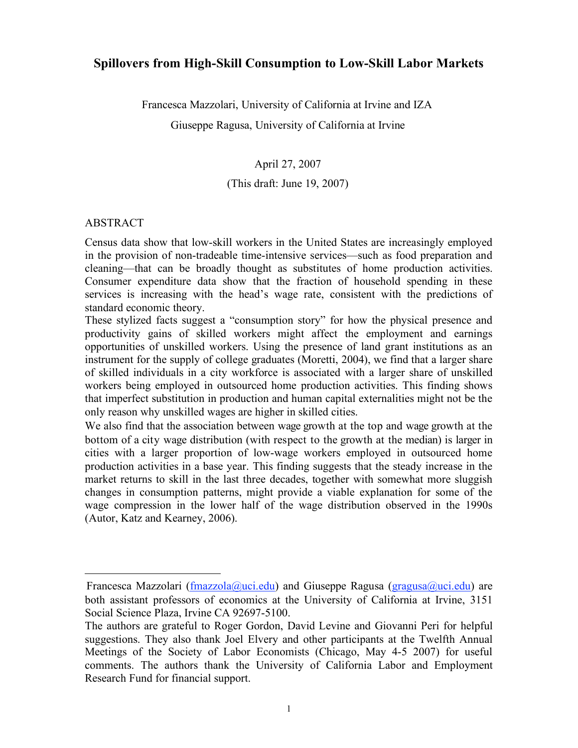# **Spillovers from High-Skill Consumption to Low-Skill Labor Markets**

Francesca Mazzolari, University of California at Irvine and IZA

Giuseppe Ragusa, University of California at Irvine

April 27, 2007

# (This draft: June 19, 2007)

## ABSTRACT

 $\overline{a}$ 

Census data show that low-skill workers in the United States are increasingly employed in the provision of non-tradeable time-intensive services—such as food preparation and cleaning—that can be broadly thought as substitutes of home production activities. Consumer expenditure data show that the fraction of household spending in these services is increasing with the head's wage rate, consistent with the predictions of standard economic theory.

These stylized facts suggest a "consumption story" for how the physical presence and productivity gains of skilled workers might affect the employment and earnings opportunities of unskilled workers. Using the presence of land grant institutions as an instrument for the supply of college graduates (Moretti, 2004), we find that a larger share of skilled individuals in a city workforce is associated with a larger share of unskilled workers being employed in outsourced home production activities. This finding shows that imperfect substitution in production and human capital externalities might not be the only reason why unskilled wages are higher in skilled cities.

We also find that the association between wage growth at the top and wage growth at the bottom of a city wage distribution (with respect to the growth at the median) is larger in cities with a larger proportion of low-wage workers employed in outsourced home production activities in a base year. This finding suggests that the steady increase in the market returns to skill in the last three decades, together with somewhat more sluggish changes in consumption patterns, might provide a viable explanation for some of the wage compression in the lower half of the wage distribution observed in the 1990s (Autor, Katz and Kearney, 2006).

Francesca Mazzolari (fmazzola@uci.edu) and Giuseppe Ragusa (gragusa@uci.edu) are both assistant professors of economics at the University of California at Irvine, 3151 Social Science Plaza, Irvine CA 92697-5100.

The authors are grateful to Roger Gordon, David Levine and Giovanni Peri for helpful suggestions. They also thank Joel Elvery and other participants at the Twelfth Annual Meetings of the Society of Labor Economists (Chicago, May 4-5 2007) for useful comments. The authors thank the University of California Labor and Employment Research Fund for financial support.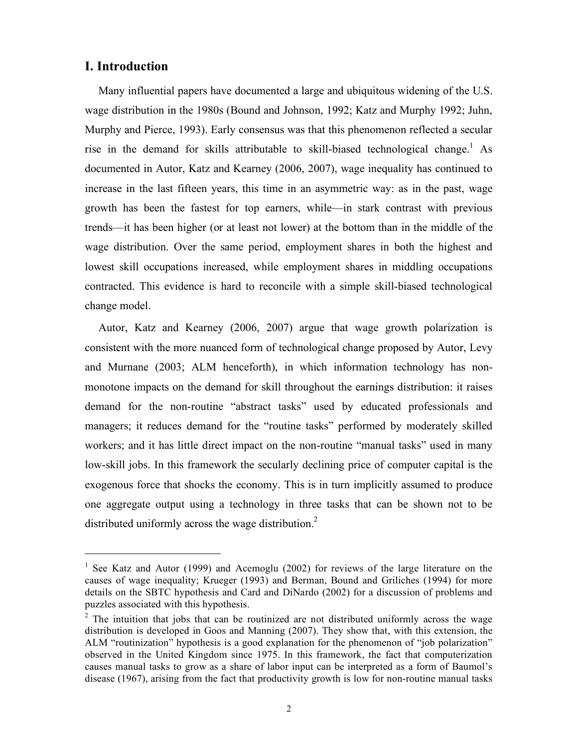# **I. Introduction**

Many influential papers have documented a large and ubiquitous widening of the U.S. wage distribution in the 1980s (Bound and Johnson, 1992; Katz and Murphy 1992; Juhn, Murphy and Pierce, 1993). Early consensus was that this phenomenon reflected a secular rise in the demand for skills attributable to skill-biased technological change. <sup>1</sup> As documented in Autor, Katz and Kearney (2006, 2007), wage inequality has continued to increase in the last fifteen years, this time in an asymmetric way: as in the past, wage growth has been the fastest for top earners, while—in stark contrast with previous trends—it has been higher (or at least not lower) at the bottom than in the middle of the wage distribution. Over the same period, employment shares in both the highest and lowest skill occupations increased, while employment shares in middling occupations contracted. This evidence is hard to reconcile with a simple skill-biased technological change model.

Autor, Katz and Kearney (2006, 2007) argue that wage growth polarization is consistent with the more nuanced form of technological change proposed by Autor, Levy and Murnane (2003; ALM henceforth), in which information technology has nonmonotone impacts on the demand for skill throughout the earnings distribution: it raises demand for the non-routine "abstract tasks" used by educated professionals and managers; it reduces demand for the "routine tasks" performed by moderately skilled workers; and it has little direct impact on the non-routine "manual tasks" used in many low-skill jobs. In this framework the secularly declining price of computer capital is the exogenous force that shocks the economy. This is in turn implicitly assumed to produce one aggregate output using a technology in three tasks that can be shown not to be distributed uniformly across the wage distribution.<sup>2</sup>

<sup>&</sup>lt;sup>1</sup> See Katz and Autor (1999) and Acemoglu (2002) for reviews of the large literature on the causes of wage inequality; Krueger (1993) and Berman, Bound and Griliches (1994) for more details on the SBTC hypothesis and Card and DiNardo (2002) for a discussion of problems and puzzles associated with this hypothesis.

 $2$  The intuition that jobs that can be routinized are not distributed uniformly across the wage distribution is developed in Goos and Manning (2007). They show that, with this extension, the ALM "routinization" hypothesis is a good explanation for the phenomenon of "job polarization" observed in the United Kingdom since 1975. In this framework, the fact that computerization causes manual tasks to grow as a share of labor input can be interpreted as a form of Baumol's disease (1967), arising from the fact that productivity growth is low for non-routine manual tasks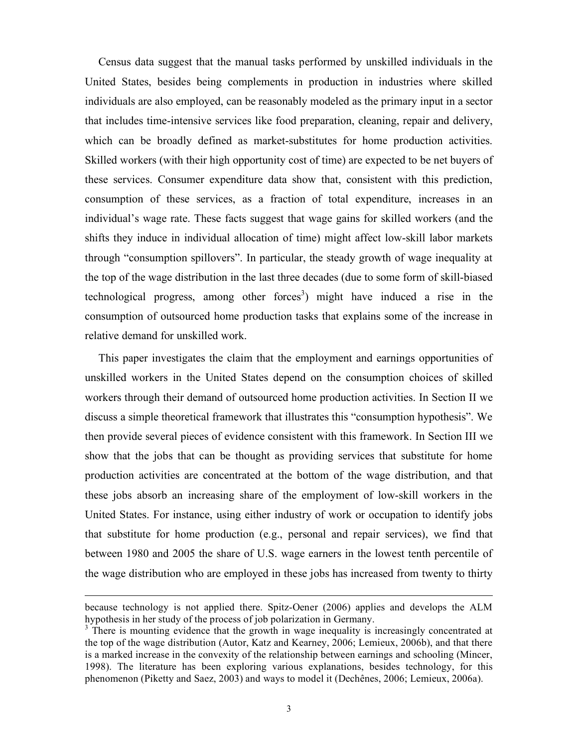Census data suggest that the manual tasks performed by unskilled individuals in the United States, besides being complements in production in industries where skilled individuals are also employed, can be reasonably modeled as the primary input in a sector that includes time-intensive services like food preparation, cleaning, repair and delivery, which can be broadly defined as market-substitutes for home production activities. Skilled workers (with their high opportunity cost of time) are expected to be net buyers of these services. Consumer expenditure data show that, consistent with this prediction, consumption of these services, as a fraction of total expenditure, increases in an individual's wage rate. These facts suggest that wage gains for skilled workers (and the shifts they induce in individual allocation of time) might affect low-skill labor markets through "consumption spillovers". In particular, the steady growth of wage inequality at the top of the wage distribution in the last three decades (due to some form of skill-biased technological progress, among other forces 3 ) might have induced a rise in the consumption of outsourced home production tasks that explains some of the increase in relative demand for unskilled work.

This paper investigates the claim that the employment and earnings opportunities of unskilled workers in the United States depend on the consumption choices of skilled workers through their demand of outsourced home production activities. In Section II we discuss a simple theoretical framework that illustrates this "consumption hypothesis". We then provide several pieces of evidence consistent with this framework. In Section III we show that the jobs that can be thought as providing services that substitute for home production activities are concentrated at the bottom of the wage distribution, and that these jobs absorb an increasing share of the employment of low-skill workers in the United States. For instance, using either industry of work or occupation to identify jobs that substitute for home production (e.g., personal and repair services), we find that between 1980 and 2005 the share of U.S. wage earners in the lowest tenth percentile of the wage distribution who are employed in these jobs has increased from twenty to thirty

 $\overline{a}$ 

because technology is not applied there. Spitz-Oener (2006) applies and develops the ALM hypothesis in her study of the process of job polarization in Germany.<br><sup>3</sup> There is mounting evidence that the growth in wage inequality is increasingly concentrated at

the top of the wage distribution (Autor, Katz and Kearney, 2006; Lemieux, 2006b), and that there is a marked increase in the convexity of the relationship between earnings and schooling (Mincer, 1998). The literature has been exploring various explanations, besides technology, for this phenomenon (Piketty and Saez, 2003) and ways to model it (Dechênes, 2006; Lemieux, 2006a).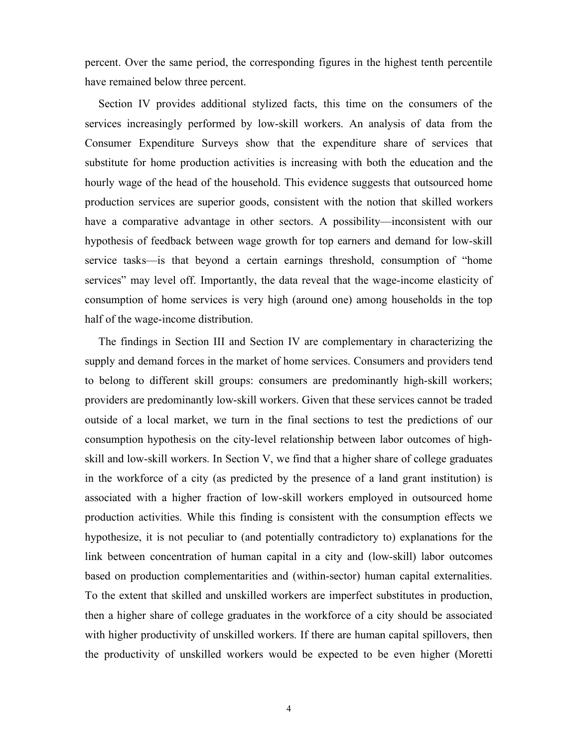percent. Over the same period, the corresponding figures in the highest tenth percentile have remained below three percent.

Section IV provides additional stylized facts, this time on the consumers of the services increasingly performed by low-skill workers. An analysis of data from the Consumer Expenditure Surveys show that the expenditure share of services that substitute for home production activities is increasing with both the education and the hourly wage of the head of the household. This evidence suggests that outsourced home production services are superior goods, consistent with the notion that skilled workers have a comparative advantage in other sectors. A possibility—inconsistent with our hypothesis of feedback between wage growth for top earners and demand for low-skill service tasks—is that beyond a certain earnings threshold, consumption of "home services" may level off. Importantly, the data reveal that the wage-income elasticity of consumption of home services is very high (around one) among households in the top half of the wage-income distribution.

The findings in Section III and Section IV are complementary in characterizing the supply and demand forces in the market of home services. Consumers and providers tend to belong to different skill groups: consumers are predominantly high-skill workers; providers are predominantly low-skill workers. Given that these services cannot be traded outside of a local market, we turn in the final sections to test the predictions of our consumption hypothesis on the city-level relationship between labor outcomes of highskill and low-skill workers. In Section V, we find that a higher share of college graduates in the workforce of a city (as predicted by the presence of a land grant institution) is associated with a higher fraction of low-skill workers employed in outsourced home production activities. While this finding is consistent with the consumption effects we hypothesize, it is not peculiar to (and potentially contradictory to) explanations for the link between concentration of human capital in a city and (low-skill) labor outcomes based on production complementarities and (within-sector) human capital externalities. To the extent that skilled and unskilled workers are imperfect substitutes in production, then a higher share of college graduates in the workforce of a city should be associated with higher productivity of unskilled workers. If there are human capital spillovers, then the productivity of unskilled workers would be expected to be even higher (Moretti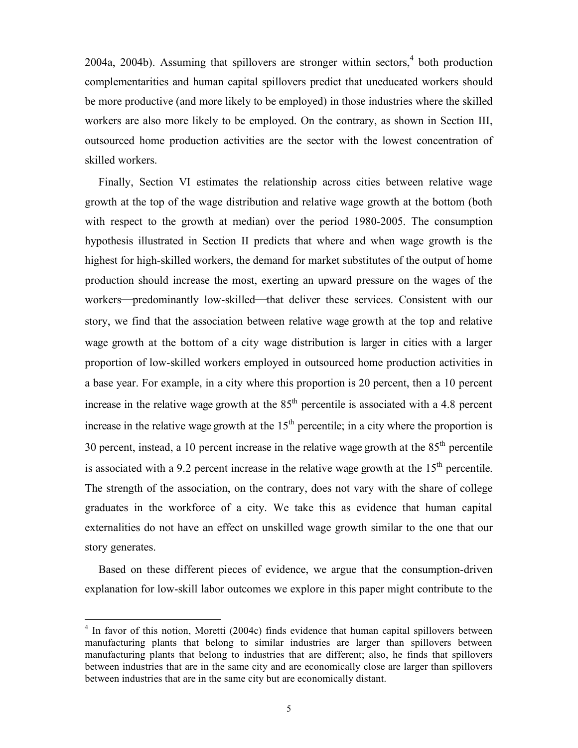2004a, 2004b). Assuming that spillovers are stronger within sectors,<sup>4</sup> both production complementarities and human capital spillovers predict that uneducated workers should be more productive (and more likely to be employed) in those industries where the skilled workers are also more likely to be employed. On the contrary, as shown in Section III, outsourced home production activities are the sector with the lowest concentration of skilled workers.

Finally, Section VI estimates the relationship across cities between relative wage growth at the top of the wage distribution and relative wage growth at the bottom (both with respect to the growth at median) over the period 1980-2005. The consumption hypothesis illustrated in Section II predicts that where and when wage growth is the highest for high-skilled workers, the demand for market substitutes of the output of home production should increase the most, exerting an upward pressure on the wages of the workers—predominantly low-skilled—that deliver these services. Consistent with our story, we find that the association between relative wage growth at the top and relative wage growth at the bottom of a city wage distribution is larger in cities with a larger proportion of low-skilled workers employed in outsourced home production activities in a base year. For example, in a city where this proportion is 20 percent, then a 10 percent increase in the relative wage growth at the  $85<sup>th</sup>$  percentile is associated with a 4.8 percent increase in the relative wage growth at the  $15<sup>th</sup>$  percentile; in a city where the proportion is 30 percent, instead, a 10 percent increase in the relative wage growth at the  $85<sup>th</sup>$  percentile is associated with a 9.2 percent increase in the relative wage growth at the  $15<sup>th</sup>$  percentile. The strength of the association, on the contrary, does not vary with the share of college graduates in the workforce of a city. We take this as evidence that human capital externalities do not have an effect on unskilled wage growth similar to the one that our story generates.

Based on these different pieces of evidence, we argue that the consumption-driven explanation for low-skill labor outcomes we explore in this paper might contribute to the

 $4$  In favor of this notion, Moretti (2004c) finds evidence that human capital spillovers between manufacturing plants that belong to similar industries are larger than spillovers between manufacturing plants that belong to industries that are different; also, he finds that spillovers between industries that are in the same city and are economically close are larger than spillovers between industries that are in the same city but are economically distant.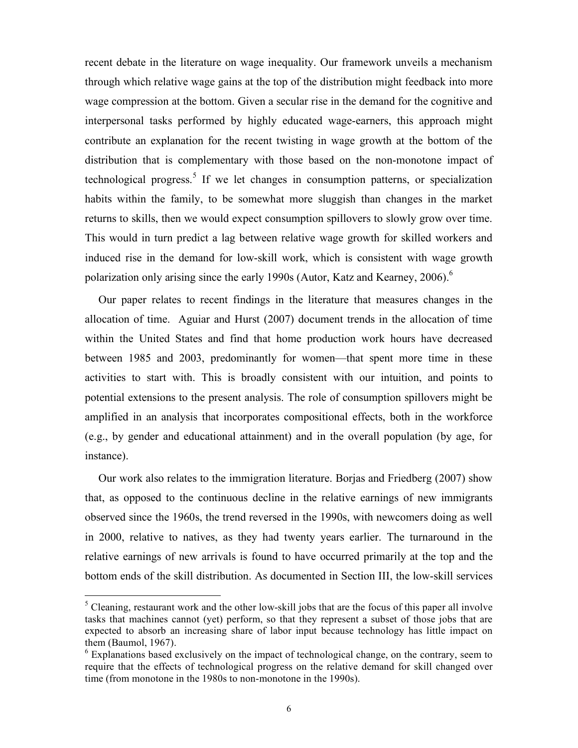recent debate in the literature on wage inequality. Our framework unveils a mechanism through which relative wage gains at the top of the distribution might feedback into more wage compression at the bottom. Given a secular rise in the demand for the cognitive and interpersonal tasks performed by highly educated wage-earners, this approach might contribute an explanation for the recent twisting in wage growth at the bottom of the distribution that is complementary with those based on the non-monotone impact of technological progress. <sup>5</sup> If we let changes in consumption patterns, or specialization habits within the family, to be somewhat more sluggish than changes in the market returns to skills, then we would expect consumption spillovers to slowly grow over time. This would in turn predict a lag between relative wage growth for skilled workers and induced rise in the demand for low-skill work, which is consistent with wage growth polarization only arising since the early 1990s (Autor, Katz and Kearney, 2006). 6

Our paper relates to recent findings in the literature that measures changes in the allocation of time. Aguiar and Hurst (2007) document trends in the allocation of time within the United States and find that home production work hours have decreased between 1985 and 2003, predominantly for women—that spent more time in these activities to start with. This is broadly consistent with our intuition, and points to potential extensions to the present analysis. The role of consumption spillovers might be amplified in an analysis that incorporates compositional effects, both in the workforce (e.g., by gender and educational attainment) and in the overall population (by age, for instance).

Our work also relates to the immigration literature. Borjas and Friedberg (2007) show that, as opposed to the continuous decline in the relative earnings of new immigrants observed since the 1960s, the trend reversed in the 1990s, with newcomers doing as well in 2000, relative to natives, as they had twenty years earlier. The turnaround in the relative earnings of new arrivals is found to have occurred primarily at the top and the bottom ends of the skill distribution. As documented in Section III, the low-skill services

 $<sup>5</sup>$  Cleaning, restaurant work and the other low-skill jobs that are the focus of this paper all involve</sup> tasks that machines cannot (yet) perform, so that they represent a subset of those jobs that are expected to absorb an increasing share of labor input because technology has little impact on them (Baumol, 1967).

 $6$  Explanations based exclusively on the impact of technological change, on the contrary, seem to require that the effects of technological progress on the relative demand for skill changed over time (from monotone in the 1980s to non-monotone in the 1990s).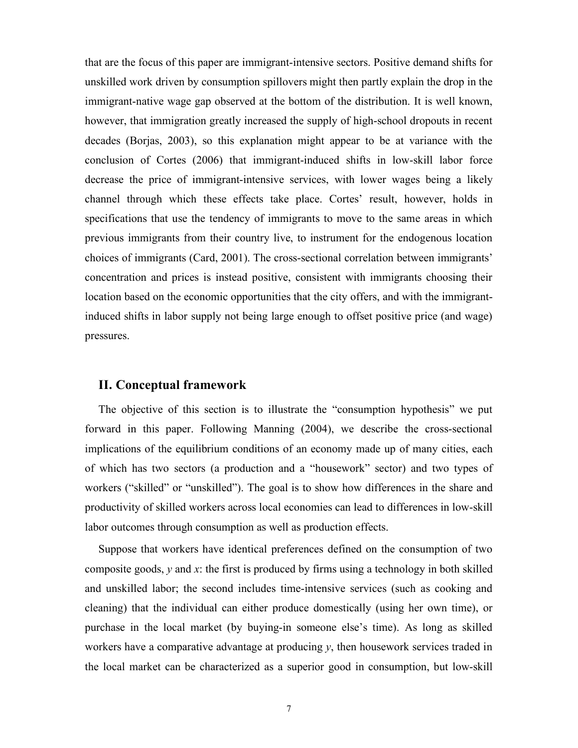that are the focus of this paper are immigrant-intensive sectors. Positive demand shifts for unskilled work driven by consumption spillovers might then partly explain the drop in the immigrant-native wage gap observed at the bottom of the distribution. It is well known, however, that immigration greatly increased the supply of high-school dropouts in recent decades (Borjas, 2003), so this explanation might appear to be at variance with the conclusion of Cortes (2006) that immigrant-induced shifts in low-skill labor force decrease the price of immigrant-intensive services, with lower wages being a likely channel through which these effects take place. Cortes' result, however, holds in specifications that use the tendency of immigrants to move to the same areas in which previous immigrants from their country live, to instrument for the endogenous location choices of immigrants (Card, 2001). The cross-sectional correlation between immigrants' concentration and prices is instead positive, consistent with immigrants choosing their location based on the economic opportunities that the city offers, and with the immigrantinduced shifts in labor supply not being large enough to offset positive price (and wage) pressures.

# **II. Conceptual framework**

The objective of this section is to illustrate the "consumption hypothesis" we put forward in this paper. Following Manning (2004), we describe the cross-sectional implications of the equilibrium conditions of an economy made up of many cities, each of which has two sectors (a production and a "housework" sector) and two types of workers ("skilled" or "unskilled"). The goal is to show how differences in the share and productivity of skilled workers across local economies can lead to differences in low-skill labor outcomes through consumption as well as production effects.

Suppose that workers have identical preferences defined on the consumption of two composite goods,  $y$  and  $x$ : the first is produced by firms using a technology in both skilled and unskilled labor; the second includes time-intensive services (such as cooking and cleaning) that the individual can either produce domestically (using her own time), or purchase in the local market (by buying-in someone else's time). As long as skilled workers have a comparative advantage at producing *y*, then housework services traded in the local market can be characterized as a superior good in consumption, but low-skill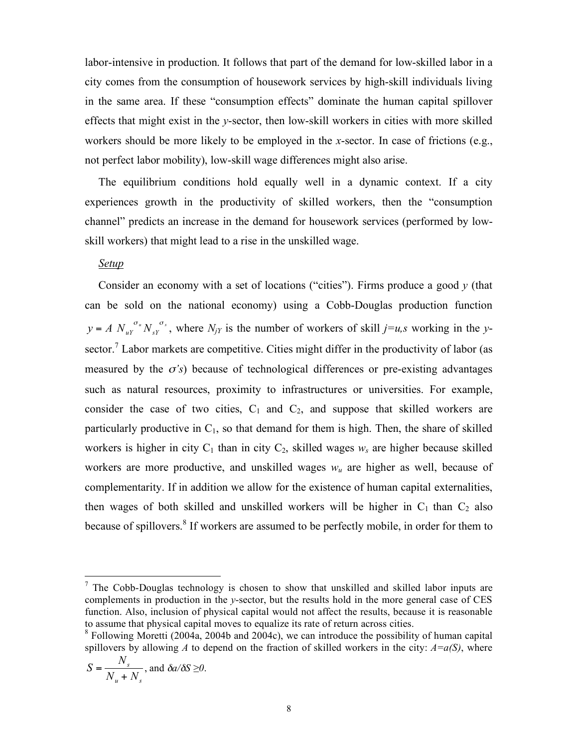labor-intensive in production. It follows that part of the demand for low-skilled labor in a city comes from the consumption of housework services by high-skill individuals living in the same area. If these "consumption effects" dominate the human capital spillover effects that might exist in the *y*-sector, then low-skill workers in cities with more skilled workers should be more likely to be employed in the *x*-sector. In case of frictions (e.g., not perfect labor mobility), low-skill wage differences might also arise.

The equilibrium conditions hold equally well in a dynamic context. If a city experiences growth in the productivity of skilled workers, then the "consumption channel" predicts an increase in the demand for housework services (performed by lowskill workers) that might lead to a rise in the unskilled wage.

#### *Setup*

Consider an economy with a set of locations ("cities"). Firms produce a good *y* (that can be sold on the national economy) using a Cobb-Douglas production function  $y = A N_{uY}^{\sigma_u} N_{sY}^{\sigma_s}$ , where  $N_{jY}$  is the number of workers of skill  $j=u,s$  working in the *y*sector.<sup>7</sup> Labor markets are competitive. Cities might differ in the productivity of labor (as measured by the  $\sigma$ 's) because of technological differences or pre-existing advantages such as natural resources, proximity to infrastructures or universities. For example, consider the case of two cities,  $C_1$  and  $C_2$ , and suppose that skilled workers are particularly productive in  $C_1$ , so that demand for them is high. Then, the share of skilled workers is higher in city  $C_1$  than in city  $C_2$ , skilled wages  $w_s$  are higher because skilled workers are more productive, and unskilled wages *wu* are higher as well, because of complementarity. If in addition we allow for the existence of human capital externalities, then wages of both skilled and unskilled workers will be higher in  $C_1$  than  $C_2$  also because of spillovers.<sup>8</sup> If workers are assumed to be perfectly mobile, in order for them to

$$
S = \frac{N_s}{N_u + N_s}, \text{ and } \delta a / \delta S \ge 0.
$$

 $<sup>7</sup>$  The Cobb-Douglas technology is chosen to show that unskilled and skilled labor inputs are</sup> complements in production in the *y*-sector, but the results hold in the more general case of CES function. Also, inclusion of physical capital would not affect the results, because it is reasonable to assume that physical capital moves to equalize its rate of return across cities.<br><sup>8</sup> Following Moretti (2004a, 2004b and 2004c), we can introduce the possibility of human capital

spillovers by allowing *A* to depend on the fraction of skilled workers in the city:  $A = a(S)$ , where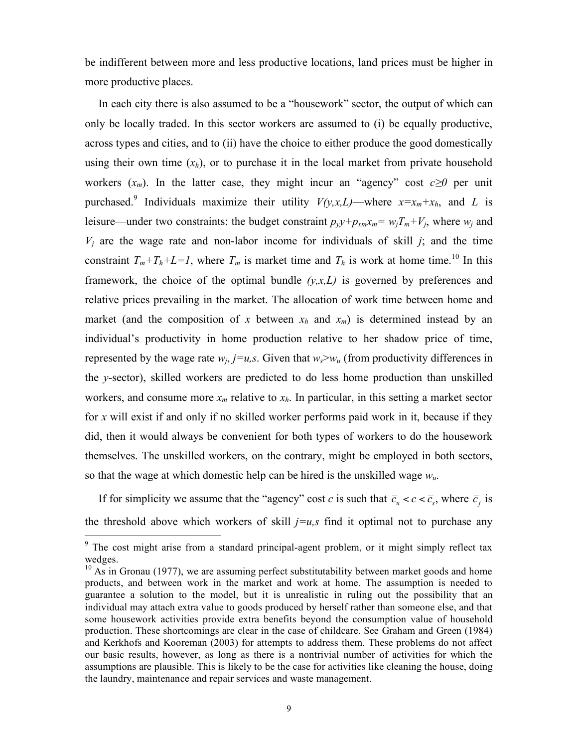be indifferent between more and less productive locations, land prices must be higher in more productive places.

In each city there is also assumed to be a "housework" sector, the output of which can only be locally traded. In this sector workers are assumed to (i) be equally productive, across types and cities, and to (ii) have the choice to either produce the good domestically using their own time  $(x_h)$ , or to purchase it in the local market from private household workers  $(x_m)$ . In the latter case, they might incur an "agency" cost  $c \ge 0$  per unit purchased.<sup>9</sup> Individuals maximize their utility  $V(y,x,L)$ —where  $x=x_m+x_h$ , and L is leisure—under two constraints: the budget constraint  $p_y y + p_{xm} x_m = w_j T_m + V_j$ , where  $w_j$  and  $V_i$  are the wage rate and non-labor income for individuals of skill  $j$ ; and the time constraint  $T_m + T_h + L = I$ , where  $T_m$  is market time and  $T_h$  is work at home time.<sup>10</sup> In this framework, the choice of the optimal bundle *(y,x,L)* is governed by preferences and relative prices prevailing in the market. The allocation of work time between home and market (and the composition of x between  $x_h$  and  $x_m$ ) is determined instead by an individual's productivity in home production relative to her shadow price of time, represented by the wage rate  $w_i$ ,  $j=u$ ,  $s$ . Given that  $w_s > w_u$  (from productivity differences in the *y*-sector), skilled workers are predicted to do less home production than unskilled workers, and consume more  $x_m$  relative to  $x_h$ . In particular, in this setting a market sector for *x* will exist if and only if no skilled worker performs paid work in it, because if they did, then it would always be convenient for both types of workers to do the housework themselves. The unskilled workers, on the contrary, might be employed in both sectors, so that the wage at which domestic help can be hired is the unskilled wage  $w_u$ .

If for simplicity we assume that the "agency" cost *c* is such that  $\overline{c}_u < c < \overline{c}_s$ , where  $\overline{c}_j$  is the threshold above which workers of skill  $j=u,s$  find it optimal not to purchase any

<sup>&</sup>lt;sup>9</sup> The cost might arise from a standard principal-agent problem, or it might simply reflect tax wedges.<br><sup>10</sup> As in Gronau (1977), we are assuming perfect substitutability between market goods and home

products, and between work in the market and work at home. The assumption is needed to guarantee a solution to the model, but it is unrealistic in ruling out the possibility that an individual may attach extra value to goods produced by herself rather than someone else, and that some housework activities provide extra benefits beyond the consumption value of household production. These shortcomings are clear in the case of childcare. See Graham and Green (1984) and Kerkhofs and Kooreman (2003) for attempts to address them. These problems do not affect our basic results, however, as long as there is a nontrivial number of activities for which the assumptions are plausible. This is likely to be the case for activities like cleaning the house, doing the laundry, maintenance and repair services and waste management.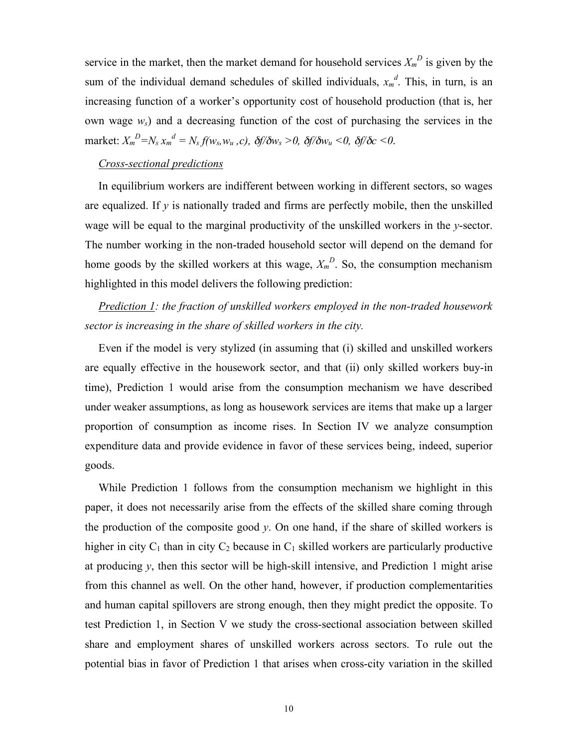service in the market, then the market demand for household services  $X_m^D$  is given by the sum of the individual demand schedules of skilled individuals,  $x_m^d$ . This, in turn, is an increasing function of a worker's opportunity cost of household production (that is, her own wage *ws*) and a decreasing function of the cost of purchasing the services in the  $\max$ **ket**:  $X_m^D = N_s x_m^d = N_s f(w_s, w_u, c)$ ,  $\delta f / \delta w_s > 0$ ,  $\delta f / \delta w_u < 0$ ,  $\delta f / \delta c < 0$ .

### *Cross-sectional predictions*

In equilibrium workers are indifferent between working in different sectors, so wages are equalized. If *y* is nationally traded and firms are perfectly mobile, then the unskilled wage will be equal to the marginal productivity of the unskilled workers in the *y*-sector. The number working in the non-traded household sector will depend on the demand for home goods by the skilled workers at this wage,  $X_m^D$ . So, the consumption mechanism highlighted in this model delivers the following prediction:

*Prediction 1: the fraction of unskilled workers employed in the non-traded housework sector is increasing in the share of skilled workers in the city.*

Even if the model is very stylized (in assuming that (i) skilled and unskilled workers are equally effective in the housework sector, and that (ii) only skilled workers buy-in time), Prediction 1 would arise from the consumption mechanism we have described under weaker assumptions, as long as housework services are items that make up a larger proportion of consumption as income rises. In Section IV we analyze consumption expenditure data and provide evidence in favor of these services being, indeed, superior goods.

While Prediction 1 follows from the consumption mechanism we highlight in this paper, it does not necessarily arise from the effects of the skilled share coming through the production of the composite good *y*. On one hand, if the share of skilled workers is higher in city  $C_1$  than in city  $C_2$  because in  $C_1$  skilled workers are particularly productive at producing *y*, then this sector will be high-skill intensive, and Prediction 1 might arise from this channel as well. On the other hand, however, if production complementarities and human capital spillovers are strong enough, then they might predict the opposite. To test Prediction 1, in Section V we study the cross-sectional association between skilled share and employment shares of unskilled workers across sectors. To rule out the potential bias in favor of Prediction 1 that arises when cross-city variation in the skilled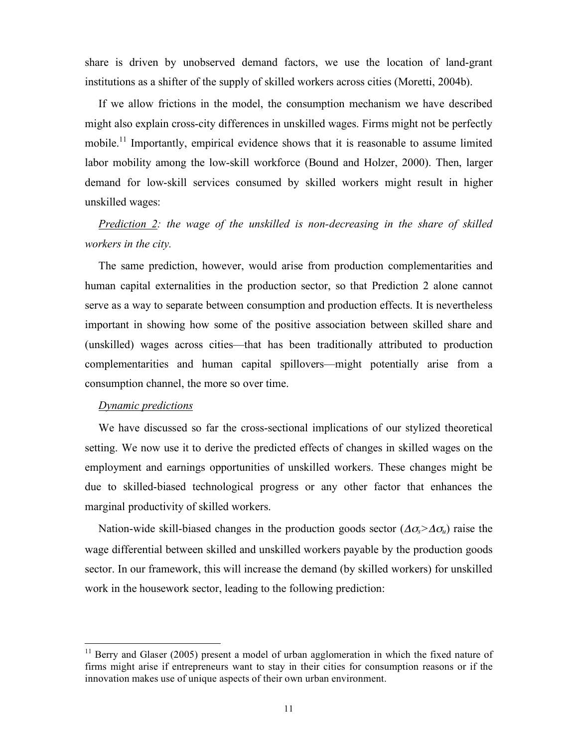share is driven by unobserved demand factors, we use the location of land-grant institutions as a shifter of the supply of skilled workers across cities (Moretti, 2004b).

If we allow frictions in the model, the consumption mechanism we have described might also explain cross-city differences in unskilled wages. Firms might not be perfectly mobile.<sup>11</sup> Importantly, empirical evidence shows that it is reasonable to assume limited labor mobility among the low-skill workforce (Bound and Holzer, 2000). Then, larger demand for low-skill services consumed by skilled workers might result in higher unskilled wages:

*Prediction 2: the wage of the unskilled is non-decreasing in the share of skilled workers in the city.*

The same prediction, however, would arise from production complementarities and human capital externalities in the production sector, so that Prediction 2 alone cannot serve as a way to separate between consumption and production effects. It is nevertheless important in showing how some of the positive association between skilled share and (unskilled) wages across cities—that has been traditionally attributed to production complementarities and human capital spillovers—might potentially arise from a consumption channel, the more so over time.

### *Dynamic predictions*

We have discussed so far the cross-sectional implications of our stylized theoretical setting. We now use it to derive the predicted effects of changes in skilled wages on the employment and earnings opportunities of unskilled workers. These changes might be due to skilled-biased technological progress or any other factor that enhances the marginal productivity of skilled workers.

Nation-wide skill-biased changes in the production goods sector (Δσ*s>*Δσ*u*) raise the wage differential between skilled and unskilled workers payable by the production goods sector. In our framework, this will increase the demand (by skilled workers) for unskilled work in the housework sector, leading to the following prediction:

 $11$  Berry and Glaser (2005) present a model of urban agglomeration in which the fixed nature of firms might arise if entrepreneurs want to stay in their cities for consumption reasons or if the innovation makes use of unique aspects of their own urban environment.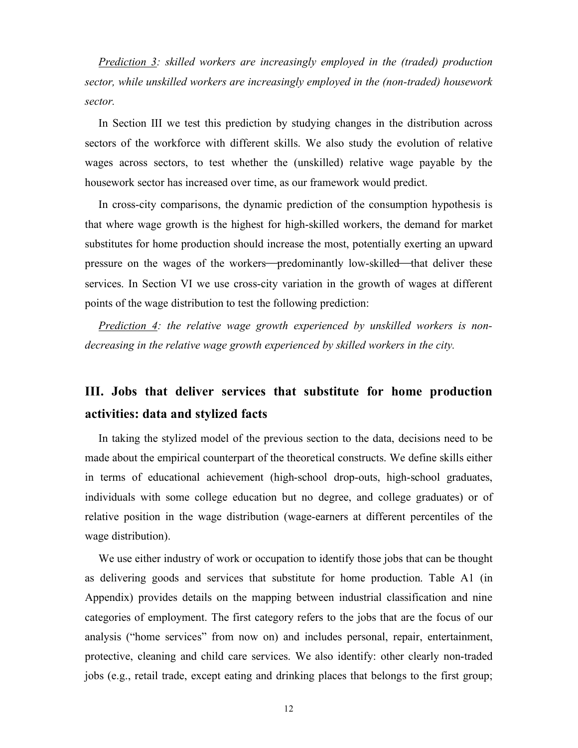*Prediction 3: skilled workers are increasingly employed in the (traded) production sector, while unskilled workers are increasingly employed in the (non-traded) housework sector.*

In Section III we test this prediction by studying changes in the distribution across sectors of the workforce with different skills. We also study the evolution of relative wages across sectors, to test whether the (unskilled) relative wage payable by the housework sector has increased over time, as our framework would predict.

In cross-city comparisons, the dynamic prediction of the consumption hypothesis is that where wage growth is the highest for high-skilled workers, the demand for market substitutes for home production should increase the most, potentially exerting an upward pressure on the wages of the workers—predominantly low-skilled—that deliver these services. In Section VI we use cross-city variation in the growth of wages at different points of the wage distribution to test the following prediction:

*Prediction 4: the relative wage growth experienced by unskilled workers is nondecreasing in the relative wage growth experienced by skilled workers in the city.*

# **III. Jobs that deliver services that substitute for home production activities: data and stylized facts**

In taking the stylized model of the previous section to the data, decisions need to be made about the empirical counterpart of the theoretical constructs. We define skills either in terms of educational achievement (high-school drop-outs, high-school graduates, individuals with some college education but no degree, and college graduates) or of relative position in the wage distribution (wage-earners at different percentiles of the wage distribution).

We use either industry of work or occupation to identify those jobs that can be thought as delivering goods and services that substitute for home production. Table A1 (in Appendix) provides details on the mapping between industrial classification and nine categories of employment. The first category refers to the jobs that are the focus of our analysis ("home services" from now on) and includes personal, repair, entertainment, protective, cleaning and child care services. We also identify: other clearly non-traded jobs (e.g., retail trade, except eating and drinking places that belongs to the first group;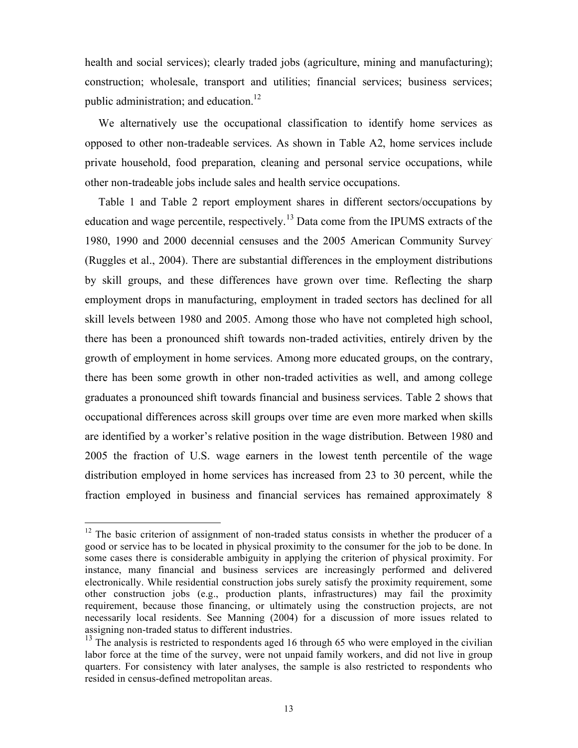health and social services); clearly traded jobs (agriculture, mining and manufacturing); construction; wholesale, transport and utilities; financial services; business services; public administration; and education.<sup>12</sup>

We alternatively use the occupational classification to identify home services as opposed to other non-tradeable services. As shown in Table A2, home services include private household, food preparation, cleaning and personal service occupations, while other non-tradeable jobs include sales and health service occupations.

Table 1 and Table 2 report employment shares in different sectors/occupations by education and wage percentile, respectively.<sup>13</sup> Data come from the IPUMS extracts of the 1980, 1990 and 2000 decennial censuses and the 2005 American Community Survey. (Ruggles et al., 2004). There are substantial differences in the employment distributions by skill groups, and these differences have grown over time. Reflecting the sharp employment drops in manufacturing, employment in traded sectors has declined for all skill levels between 1980 and 2005. Among those who have not completed high school, there has been a pronounced shift towards non-traded activities, entirely driven by the growth of employment in home services. Among more educated groups, on the contrary, there has been some growth in other non-traded activities as well, and among college graduates a pronounced shift towards financial and business services. Table 2 shows that occupational differences across skill groups over time are even more marked when skills are identified by a worker's relative position in the wage distribution. Between 1980 and 2005 the fraction of U.S. wage earners in the lowest tenth percentile of the wage distribution employed in home services has increased from 23 to 30 percent, while the fraction employed in business and financial services has remained approximately 8

<sup>&</sup>lt;sup>12</sup> The basic criterion of assignment of non-traded status consists in whether the producer of a good or service has to be located in physical proximity to the consumer for the job to be done. In some cases there is considerable ambiguity in applying the criterion of physical proximity. For instance, many financial and business services are increasingly performed and delivered electronically. While residential construction jobs surely satisfy the proximity requirement, some other construction jobs (e.g., production plants, infrastructures) may fail the proximity requirement, because those financing, or ultimately using the construction projects, are not necessarily local residents. See Manning (2004) for a discussion of more issues related to assigning non-traded status to different industries.<br><sup>13</sup> The analysis is restricted to respondents aged 16 through 65 who were employed in the civilian

labor force at the time of the survey, were not unpaid family workers, and did not live in group quarters. For consistency with later analyses, the sample is also restricted to respondents who resided in census-defined metropolitan areas.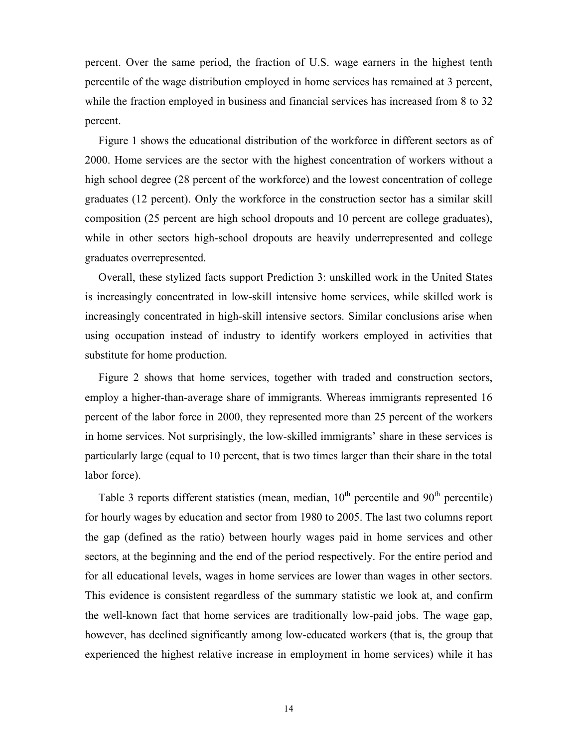percent. Over the same period, the fraction of U.S. wage earners in the highest tenth percentile of the wage distribution employed in home services has remained at 3 percent, while the fraction employed in business and financial services has increased from 8 to 32 percent.

Figure 1 shows the educational distribution of the workforce in different sectors as of 2000. Home services are the sector with the highest concentration of workers without a high school degree (28 percent of the workforce) and the lowest concentration of college graduates (12 percent). Only the workforce in the construction sector has a similar skill composition (25 percent are high school dropouts and 10 percent are college graduates), while in other sectors high-school dropouts are heavily underrepresented and college graduates overrepresented.

Overall, these stylized facts support Prediction 3: unskilled work in the United States is increasingly concentrated in low-skill intensive home services, while skilled work is increasingly concentrated in high-skill intensive sectors. Similar conclusions arise when using occupation instead of industry to identify workers employed in activities that substitute for home production.

Figure 2 shows that home services, together with traded and construction sectors, employ a higher-than-average share of immigrants. Whereas immigrants represented 16 percent of the labor force in 2000, they represented more than 25 percent of the workers in home services. Not surprisingly, the low-skilled immigrants' share in these services is particularly large (equal to 10 percent, that is two times larger than their share in the total labor force).

Table 3 reports different statistics (mean, median,  $10<sup>th</sup>$  percentile and  $90<sup>th</sup>$  percentile) for hourly wages by education and sector from 1980 to 2005. The last two columns report the gap (defined as the ratio) between hourly wages paid in home services and other sectors, at the beginning and the end of the period respectively. For the entire period and for all educational levels, wages in home services are lower than wages in other sectors. This evidence is consistent regardless of the summary statistic we look at, and confirm the well-known fact that home services are traditionally low-paid jobs. The wage gap, however, has declined significantly among low-educated workers (that is, the group that experienced the highest relative increase in employment in home services) while it has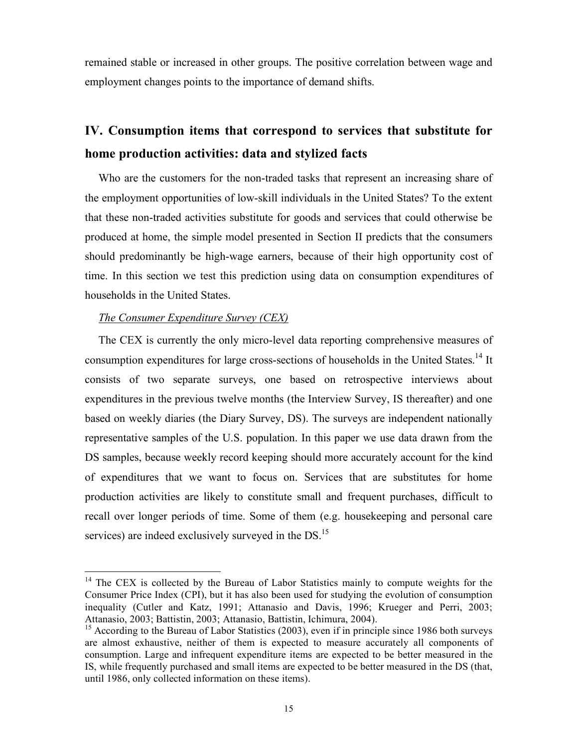remained stable or increased in other groups. The positive correlation between wage and employment changes points to the importance of demand shifts.

# **IV. Consumption items that correspond to services that substitute for home production activities: data and stylized facts**

Who are the customers for the non-traded tasks that represent an increasing share of the employment opportunities of low-skill individuals in the United States? To the extent that these non-traded activities substitute for goods and services that could otherwise be produced at home, the simple model presented in Section II predicts that the consumers should predominantly be high-wage earners, because of their high opportunity cost of time. In this section we test this prediction using data on consumption expenditures of households in the United States.

### *The Consumer Expenditure Survey (CEX)*

The CEX is currently the only micro-level data reporting comprehensive measures of consumption expenditures for large cross-sections of households in the United States.<sup>14</sup> It consists of two separate surveys, one based on retrospective interviews about expenditures in the previous twelve months (the Interview Survey, IS thereafter) and one based on weekly diaries (the Diary Survey, DS). The surveys are independent nationally representative samples of the U.S. population. In this paper we use data drawn from the DS samples, because weekly record keeping should more accurately account for the kind of expenditures that we want to focus on. Services that are substitutes for home production activities are likely to constitute small and frequent purchases, difficult to recall over longer periods of time. Some of them (e.g. housekeeping and personal care services) are indeed exclusively surveyed in the DS.<sup>15</sup>

 $14$  The CEX is collected by the Bureau of Labor Statistics mainly to compute weights for the Consumer Price Index (CPI), but it has also been used for studying the evolution of consumption inequality (Cutler and Katz, 1991; Attanasio and Davis, 1996; Krueger and Perri, 2003; Attanasio, 2003; Battistin, 2003; Attanasio, Battistin, Ichimura, 2004).

 $15$  According to the Bureau of Labor Statistics (2003), even if in principle since 1986 both surveys are almost exhaustive, neither of them is expected to measure accurately all components of consumption. Large and infrequent expenditure items are expected to be better measured in the IS, while frequently purchased and small items are expected to be better measured in the DS (that, until 1986, only collected information on these items).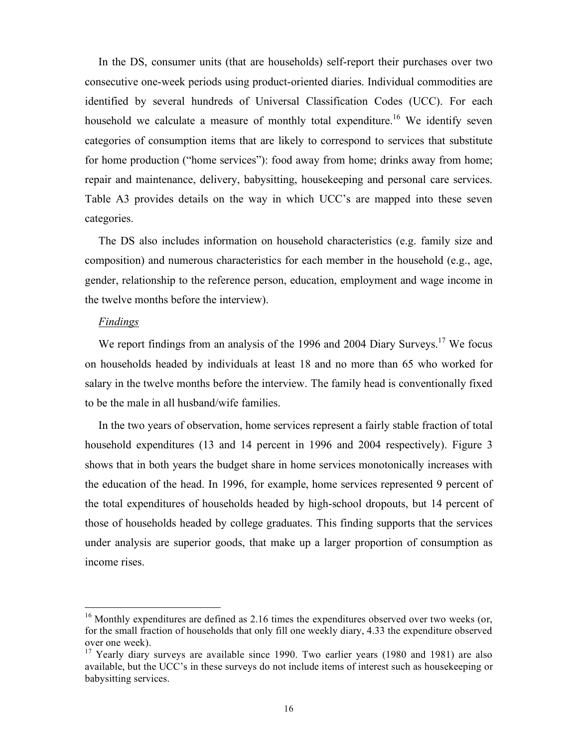In the DS, consumer units (that are households) self-report their purchases over two consecutive one-week periods using product-oriented diaries. Individual commodities are identified by several hundreds of Universal Classification Codes (UCC). For each household we calculate a measure of monthly total expenditure.<sup>16</sup> We identify seven categories of consumption items that are likely to correspond to services that substitute for home production ("home services"): food away from home; drinks away from home; repair and maintenance, delivery, babysitting, housekeeping and personal care services. Table A3 provides details on the way in which UCC's are mapped into these seven categories.

The DS also includes information on household characteristics (e.g. family size and composition) and numerous characteristics for each member in the household (e.g., age, gender, relationship to the reference person, education, employment and wage income in the twelve months before the interview).

#### *Findings*

We report findings from an analysis of the 1996 and 2004 Diary Surveys.<sup>17</sup> We focus on households headed by individuals at least 18 and no more than 65 who worked for salary in the twelve months before the interview. The family head is conventionally fixed to be the male in all husband/wife families.

In the two years of observation, home services represent a fairly stable fraction of total household expenditures (13 and 14 percent in 1996 and 2004 respectively). Figure 3 shows that in both years the budget share in home services monotonically increases with the education of the head. In 1996, for example, home services represented 9 percent of the total expenditures of households headed by high-school dropouts, but 14 percent of those of households headed by college graduates. This finding supports that the services under analysis are superior goods, that make up a larger proportion of consumption as income rises.

 $16$  Monthly expenditures are defined as 2.16 times the expenditures observed over two weeks (or, for the small fraction of households that only fill one weekly diary, 4.33 the expenditure observed over one week).<br><sup>17</sup> Yearly diary surveys are available since 1990. Two earlier years (1980 and 1981) are also

available, but the UCC's in these surveys do not include items of interest such as housekeeping or babysitting services.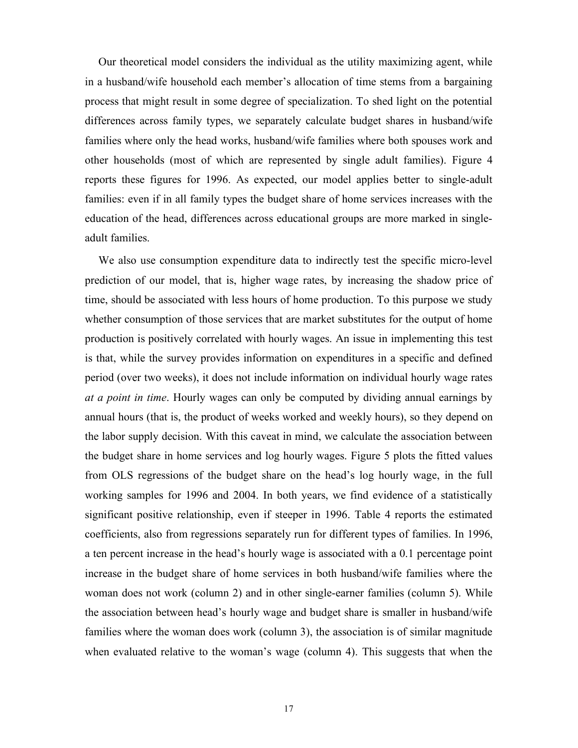Our theoretical model considers the individual as the utility maximizing agent, while in a husband/wife household each member's allocation of time stems from a bargaining process that might result in some degree of specialization. To shed light on the potential differences across family types, we separately calculate budget shares in husband/wife families where only the head works, husband/wife families where both spouses work and other households (most of which are represented by single adult families). Figure 4 reports these figures for 1996. As expected, our model applies better to single-adult families: even if in all family types the budget share of home services increases with the education of the head, differences across educational groups are more marked in singleadult families.

We also use consumption expenditure data to indirectly test the specific micro-level prediction of our model, that is, higher wage rates, by increasing the shadow price of time, should be associated with less hours of home production. To this purpose we study whether consumption of those services that are market substitutes for the output of home production is positively correlated with hourly wages. An issue in implementing this test is that, while the survey provides information on expenditures in a specific and defined period (over two weeks), it does not include information on individual hourly wage rates *at a point in time*. Hourly wages can only be computed by dividing annual earnings by annual hours (that is, the product of weeks worked and weekly hours), so they depend on the labor supply decision. With this caveat in mind, we calculate the association between the budget share in home services and log hourly wages. Figure 5 plots the fitted values from OLS regressions of the budget share on the head's log hourly wage, in the full working samples for 1996 and 2004. In both years, we find evidence of a statistically significant positive relationship, even if steeper in 1996. Table 4 reports the estimated coefficients, also from regressions separately run for different types of families. In 1996, a ten percent increase in the head's hourly wage is associated with a 0.1 percentage point increase in the budget share of home services in both husband/wife families where the woman does not work (column 2) and in other single-earner families (column 5). While the association between head's hourly wage and budget share is smaller in husband/wife families where the woman does work (column 3), the association is of similar magnitude when evaluated relative to the woman's wage (column 4). This suggests that when the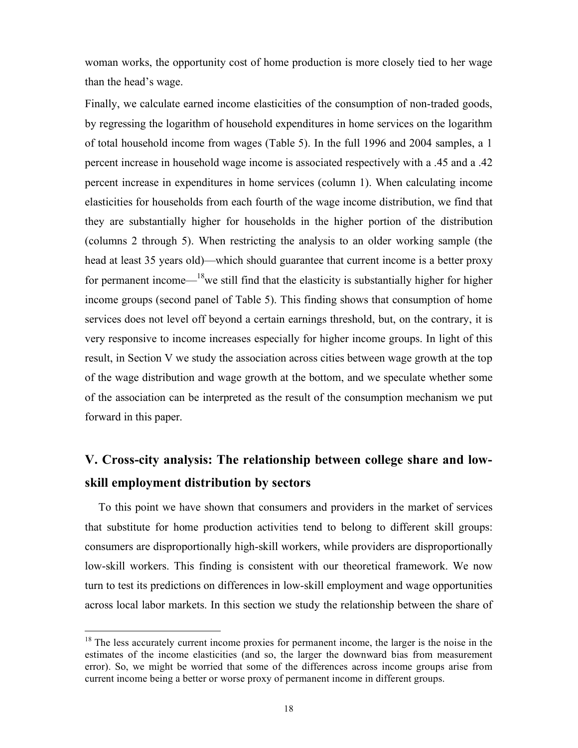woman works, the opportunity cost of home production is more closely tied to her wage than the head's wage.

Finally, we calculate earned income elasticities of the consumption of non-traded goods, by regressing the logarithm of household expenditures in home services on the logarithm of total household income from wages (Table 5). In the full 1996 and 2004 samples, a 1 percent increase in household wage income is associated respectively with a .45 and a .42 percent increase in expenditures in home services (column 1). When calculating income elasticities for households from each fourth of the wage income distribution, we find that they are substantially higher for households in the higher portion of the distribution (columns 2 through 5). When restricting the analysis to an older working sample (the head at least 35 years old)—which should guarantee that current income is a better proxy for permanent income— $18$  we still find that the elasticity is substantially higher for higher income groups (second panel of Table 5). This finding shows that consumption of home services does not level off beyond a certain earnings threshold, but, on the contrary, it is very responsive to income increases especially for higher income groups. In light of this result, in Section V we study the association across cities between wage growth at the top of the wage distribution and wage growth at the bottom, and we speculate whether some of the association can be interpreted as the result of the consumption mechanism we put forward in this paper.

# **V. Cross-city analysis: The relationship between college share and lowskill employment distribution by sectors**

To this point we have shown that consumers and providers in the market of services that substitute for home production activities tend to belong to different skill groups: consumers are disproportionally high-skill workers, while providers are disproportionally low-skill workers. This finding is consistent with our theoretical framework. We now turn to test its predictions on differences in low-skill employment and wage opportunities across local labor markets. In this section we study the relationship between the share of

 $18$  The less accurately current income proxies for permanent income, the larger is the noise in the estimates of the income elasticities (and so, the larger the downward bias from measurement error). So, we might be worried that some of the differences across income groups arise from current income being a better or worse proxy of permanent income in different groups.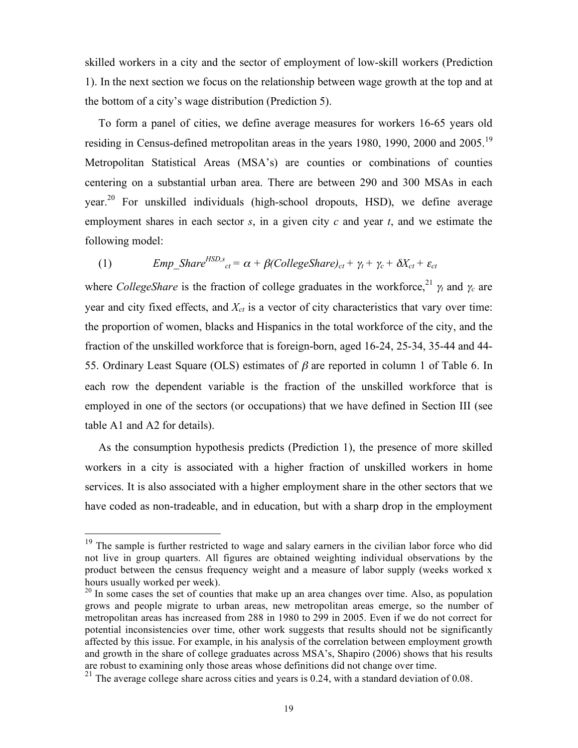skilled workers in a city and the sector of employment of low-skill workers (Prediction 1). In the next section we focus on the relationship between wage growth at the top and at the bottom of a city's wage distribution (Prediction 5).

To form a panel of cities, we define average measures for workers 16-65 years old residing in Census-defined metropolitan areas in the years 1980, 1990, 2000 and 2005.<sup>19</sup> Metropolitan Statistical Areas (MSA's) are counties or combinations of counties centering on a substantial urban area. There are between 290 and 300 MSAs in each year.<sup>20</sup> For unskilled individuals (high-school dropouts, HSD), we define average employment shares in each sector *s*, in a given city *c* and year *t*, and we estimate the following model:

(1) 
$$
Emp\_Share^{HSD,s}_{ct} = \alpha + \beta (CollegeShare)_{ct} + \gamma_t + \gamma_c + \delta X_{ct} + \varepsilon_{ct}
$$

where *CollegeShare* is the fraction of college graduates in the workforce,<sup>21</sup>  $\gamma_t$  and  $\gamma_c$  are year and city fixed effects, and  $X_{ct}$  is a vector of city characteristics that vary over time: the proportion of women, blacks and Hispanics in the total workforce of the city, and the fraction of the unskilled workforce that is foreign-born, aged 16-24, 25-34, 35-44 and 44- 55. Ordinary Least Square (OLS) estimates of  $\beta$  are reported in column 1 of Table 6. In each row the dependent variable is the fraction of the unskilled workforce that is employed in one of the sectors (or occupations) that we have defined in Section III (see table A1 and A2 for details).

As the consumption hypothesis predicts (Prediction 1), the presence of more skilled workers in a city is associated with a higher fraction of unskilled workers in home services. It is also associated with a higher employment share in the other sectors that we have coded as non-tradeable, and in education, but with a sharp drop in the employment

<sup>&</sup>lt;sup>19</sup> The sample is further restricted to wage and salary earners in the civilian labor force who did not live in group quarters. All figures are obtained weighting individual observations by the product between the census frequency weight and a measure of labor supply (weeks worked x hours usually worked per week).

<sup>&</sup>lt;sup>20</sup> In some cases the set of counties that make up an area changes over time. Also, as population grows and people migrate to urban areas, new metropolitan areas emerge, so the number of metropolitan areas has increased from 288 in 1980 to 299 in 2005. Even if we do not correct for potential inconsistencies over time, other work suggests that results should not be significantly affected by this issue. For example, in his analysis of the correlation between employment growth and growth in the share of college graduates across MSA's, Shapiro (2006) shows that his results are robust to examining only those areas whose definitions did not change over time.

<sup>&</sup>lt;sup>21</sup> The average college share across cities and years is 0.24, with a standard deviation of 0.08.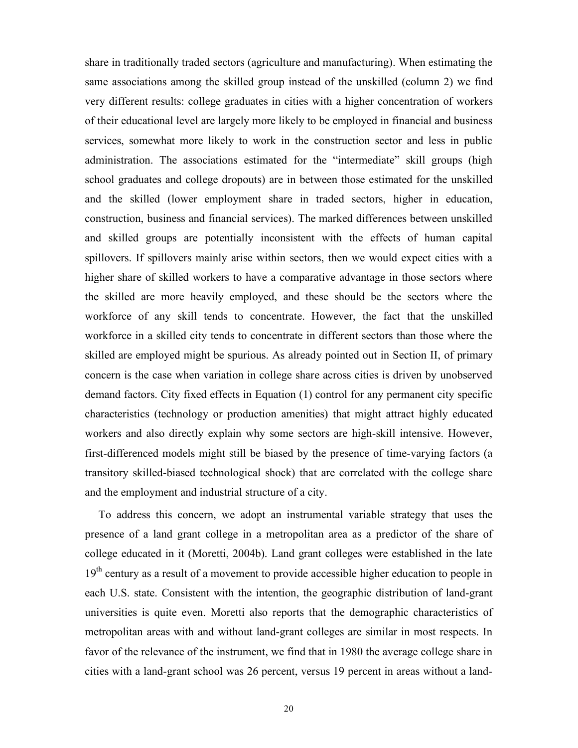share in traditionally traded sectors (agriculture and manufacturing). When estimating the same associations among the skilled group instead of the unskilled (column 2) we find very different results: college graduates in cities with a higher concentration of workers of their educational level are largely more likely to be employed in financial and business services, somewhat more likely to work in the construction sector and less in public administration. The associations estimated for the "intermediate" skill groups (high school graduates and college dropouts) are in between those estimated for the unskilled and the skilled (lower employment share in traded sectors, higher in education, construction, business and financial services). The marked differences between unskilled and skilled groups are potentially inconsistent with the effects of human capital spillovers. If spillovers mainly arise within sectors, then we would expect cities with a higher share of skilled workers to have a comparative advantage in those sectors where the skilled are more heavily employed, and these should be the sectors where the workforce of any skill tends to concentrate. However, the fact that the unskilled workforce in a skilled city tends to concentrate in different sectors than those where the skilled are employed might be spurious. As already pointed out in Section II, of primary concern is the case when variation in college share across cities is driven by unobserved demand factors. City fixed effects in Equation (1) control for any permanent city specific characteristics (technology or production amenities) that might attract highly educated workers and also directly explain why some sectors are high-skill intensive. However, first-differenced models might still be biased by the presence of time-varying factors (a transitory skilled-biased technological shock) that are correlated with the college share and the employment and industrial structure of a city.

To address this concern, we adopt an instrumental variable strategy that uses the presence of a land grant college in a metropolitan area as a predictor of the share of college educated in it (Moretti, 2004b). Land grant colleges were established in the late 19<sup>th</sup> century as a result of a movement to provide accessible higher education to people in each U.S. state. Consistent with the intention, the geographic distribution of land-grant universities is quite even. Moretti also reports that the demographic characteristics of metropolitan areas with and without land-grant colleges are similar in most respects. In favor of the relevance of the instrument, we find that in 1980 the average college share in cities with a land-grant school was 26 percent, versus 19 percent in areas without a land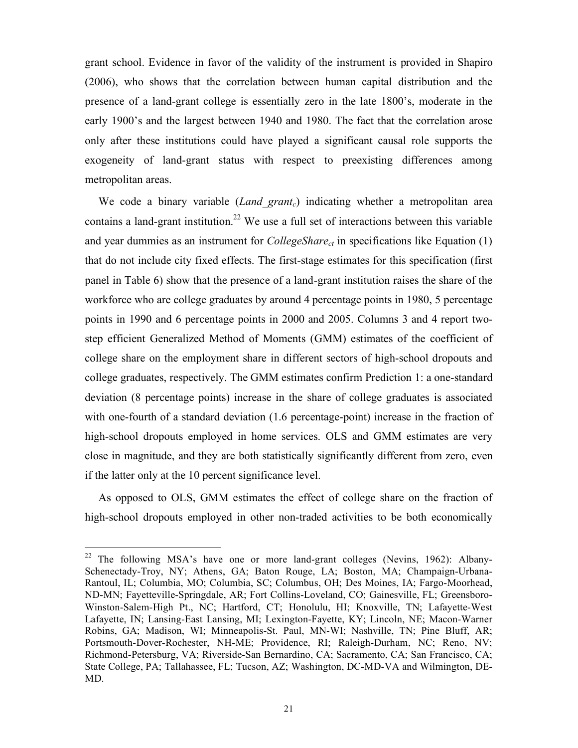grant school. Evidence in favor of the validity of the instrument is provided in Shapiro (2006), who shows that the correlation between human capital distribution and the presence of a land-grant college is essentially zero in the late 1800's, moderate in the early 1900's and the largest between 1940 and 1980. The fact that the correlation arose only after these institutions could have played a significant causal role supports the exogeneity of land-grant status with respect to preexisting differences among metropolitan areas.

We code a binary variable (*Land grant<sub>c</sub>*) indicating whether a metropolitan area contains a land-grant institution.<sup>22</sup> We use a full set of interactions between this variable and year dummies as an instrument for *CollegeShare<sub>ct</sub>* in specifications like Equation (1) that do not include city fixed effects. The first-stage estimates for this specification (first panel in Table 6) show that the presence of a land-grant institution raises the share of the workforce who are college graduates by around 4 percentage points in 1980, 5 percentage points in 1990 and 6 percentage points in 2000 and 2005. Columns 3 and 4 report twostep efficient Generalized Method of Moments (GMM) estimates of the coefficient of college share on the employment share in different sectors of high-school dropouts and college graduates, respectively. The GMM estimates confirm Prediction 1: a one-standard deviation (8 percentage points) increase in the share of college graduates is associated with one-fourth of a standard deviation (1.6 percentage-point) increase in the fraction of high-school dropouts employed in home services. OLS and GMM estimates are very close in magnitude, and they are both statistically significantly different from zero, even if the latter only at the 10 percent significance level.

As opposed to OLS, GMM estimates the effect of college share on the fraction of high-school dropouts employed in other non-traded activities to be both economically

<sup>&</sup>lt;sup>22</sup> The following MSA's have one or more land-grant colleges (Nevins, 1962): Albany-Schenectady-Troy, NY; Athens, GA; Baton Rouge, LA; Boston, MA; Champaign-Urbana-Rantoul, IL; Columbia, MO; Columbia, SC; Columbus, OH; Des Moines, IA; Fargo-Moorhead, ND-MN; Fayetteville-Springdale, AR; Fort Collins-Loveland, CO; Gainesville, FL; Greensboro-Winston-Salem-High Pt., NC; Hartford, CT; Honolulu, HI; Knoxville, TN; Lafayette-West Lafayette, IN; Lansing-East Lansing, MI; Lexington-Fayette, KY; Lincoln, NE; Macon-Warner Robins, GA; Madison, WI; Minneapolis-St. Paul, MN-WI; Nashville, TN; Pine Bluff, AR; Portsmouth-Dover-Rochester, NH-ME; Providence, RI; Raleigh-Durham, NC; Reno, NV; Richmond-Petersburg, VA; Riverside-San Bernardino, CA; Sacramento, CA; San Francisco, CA; State College, PA; Tallahassee, FL; Tucson, AZ; Washington, DC-MD-VA and Wilmington, DE-MD.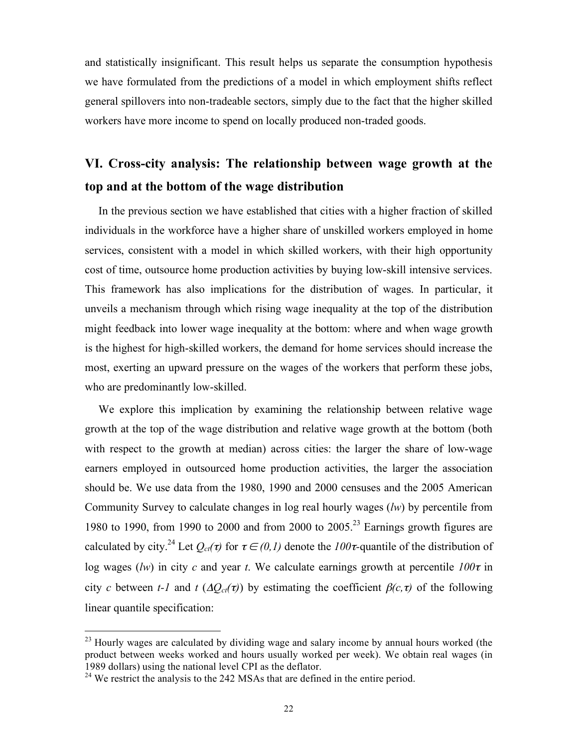and statistically insignificant. This result helps us separate the consumption hypothesis we have formulated from the predictions of a model in which employment shifts reflect general spillovers into non-tradeable sectors, simply due to the fact that the higher skilled workers have more income to spend on locally produced non-traded goods.

# **VI. Cross-city analysis: The relationship between wage growth at the top and at the bottom of the wage distribution**

In the previous section we have established that cities with a higher fraction of skilled individuals in the workforce have a higher share of unskilled workers employed in home services, consistent with a model in which skilled workers, with their high opportunity cost of time, outsource home production activities by buying low-skill intensive services. This framework has also implications for the distribution of wages. In particular, it unveils a mechanism through which rising wage inequality at the top of the distribution might feedback into lower wage inequality at the bottom: where and when wage growth is the highest for high-skilled workers, the demand for home services should increase the most, exerting an upward pressure on the wages of the workers that perform these jobs, who are predominantly low-skilled.

We explore this implication by examining the relationship between relative wage growth at the top of the wage distribution and relative wage growth at the bottom (both with respect to the growth at median) across cities: the larger the share of low-wage earners employed in outsourced home production activities, the larger the association should be. We use data from the 1980, 1990 and 2000 censuses and the 2005 American Community Survey to calculate changes in log real hourly wages (*lw*) by percentile from 1980 to 1990, from 1990 to 2000 and from 2000 to  $2005<sup>23</sup>$  Earnings growth figures are calculated by city.<sup>24</sup> Let  $Q_{ct}(\tau)$  for  $\tau \in (0,1)$  denote the  $100\tau$ -quantile of the distribution of log wages (*lw*) in city *c* and year *t*. We calculate earnings growth at percentile  $100\tau$  in city *c* between *t-1* and *t* ( $\Delta Q_{ct}(\tau)$ ) by estimating the coefficient  $\beta(c,\tau)$  of the following linear quantile specification:

 $^{23}$  Hourly wages are calculated by dividing wage and salary income by annual hours worked (the product between weeks worked and hours usually worked per week). We obtain real wages (in 1989 dollars) using the national level CPI as the deflator.

 $24$  We restrict the analysis to the 242 MSAs that are defined in the entire period.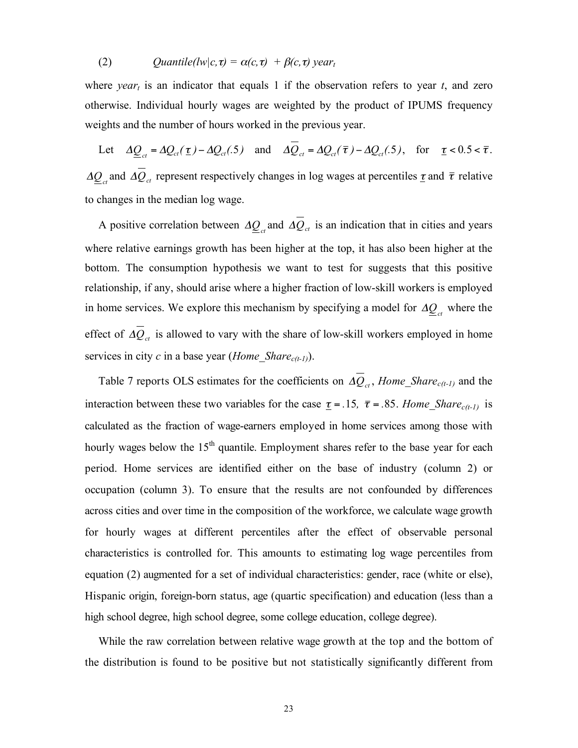(2) *Quantile(lw|c, τ)* =  $\alpha$ (*c, τ)* +  $\beta$ (*c, τ) year<sub>t</sub>* 

where *year<sub>t</sub>* is an indicator that equals 1 if the observation refers to year  $t$ , and zero otherwise. Individual hourly wages are weighted by the product of IPUMS frequency weights and the number of hours worked in the previous year.

Let  $\Delta \underline{Q}_{ct} = \Delta \underline{Q}_{ct}(\underline{\tau}) - \Delta \underline{Q}_{ct}(\underline{\tau})$  and  $\Delta \underline{Q}_{ct} = \Delta \underline{Q}_{ct}(\overline{\tau}) - \Delta \underline{Q}_{ct}(\underline{\tau})$ , for  $\underline{\tau} < 0.5 < \overline{\tau}$ . to changes in the median log wage.  $\Delta \mathcal{Q}_{ct}$  and  $\Delta \mathcal{Q}_{ct}$  represent respectively changes in log wages at percentiles  $\tau$  and  $\bar{\tau}$  relative

A positive correlation between  $\Delta \mathcal{Q}_{ct}$  and  $\Delta \mathcal{Q}_{ct}$  is an indication that in cities and years !~<br>! where relative earnings growth has been higher at the top, it has also been higher at the bottom. The consumption hypothesis we want to test for suggests that this positive relationship, if any, should arise where a higher fraction of low-skill workers is employed in home services. We explore this mechanism by specifying a model for  $\Delta \underline{Q}_{ct}$  where the effect of  $\Delta Q_{ct}$  is allowed to vary with the share of low-skill workers employed in home services in city *c* in a base year (*Home Share<sub>c(t-1)</sub>*).

Table 7 reports OLS estimates for the coefficients on  $\Delta Q_{ct}$ , *Home\_Share<sub>c(t-1)</sub>* and the ! calculated as the fraction of wage-earners employed in home services among those with interaction between these two variables for the case  $\underline{\tau} = .15$ ,  $\overline{\tau} = .85$ . *Home\_Share<sub>c(t-1)</sub>* is hourly wages below the 15<sup>th</sup> quantile. Employment shares refer to the base year for each period. Home services are identified either on the base of industry (column 2) or occupation (column 3). To ensure that the results are not confounded by differences across cities and over time in the composition of the workforce, we calculate wage growth for hourly wages at different percentiles after the effect of observable personal characteristics is controlled for. This amounts to estimating log wage percentiles from equation (2) augmented for a set of individual characteristics: gender, race (white or else), Hispanic origin, foreign-born status, age (quartic specification) and education (less than a high school degree, high school degree, some college education, college degree).

While the raw correlation between relative wage growth at the top and the bottom of the distribution is found to be positive but not statistically significantly different from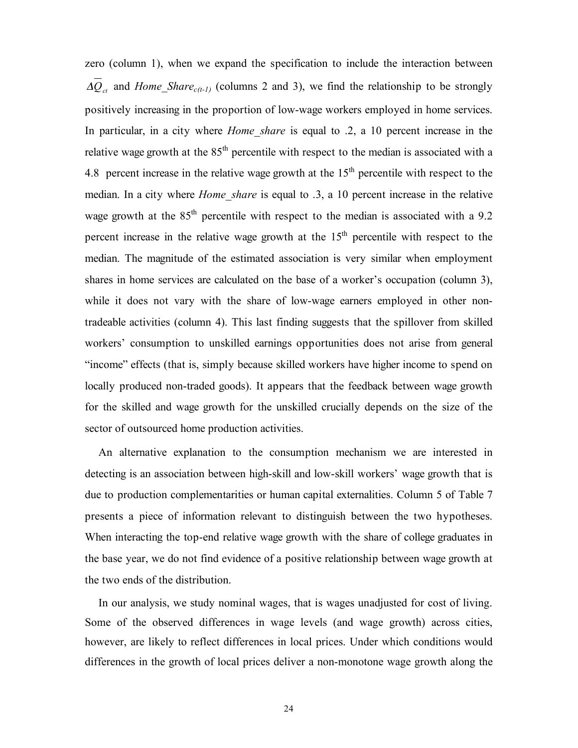zero (column 1), when we expand the specification to include the interaction between  $\Delta Q_{ct}$  and *Home\_Share<sub>c(t-1)</sub>* (columns 2 and 3), we find the relationship to be strongly positively increasing in the proportion of low-wage workers employed in home services. In particular, in a city where *Home* share is equal to .2, a 10 percent increase in the relative wage growth at the  $85<sup>th</sup>$  percentile with respect to the median is associated with a 4.8 percent increase in the relative wage growth at the  $15<sup>th</sup>$  percentile with respect to the median. In a city where *Home\_share* is equal to .3, a 10 percent increase in the relative wage growth at the  $85<sup>th</sup>$  percentile with respect to the median is associated with a 9.2 percent increase in the relative wage growth at the  $15<sup>th</sup>$  percentile with respect to the median. The magnitude of the estimated association is very similar when employment shares in home services are calculated on the base of a worker's occupation (column 3), while it does not vary with the share of low-wage earners employed in other nontradeable activities (column 4). This last finding suggests that the spillover from skilled workers' consumption to unskilled earnings opportunities does not arise from general "income" effects (that is, simply because skilled workers have higher income to spend on locally produced non-traded goods). It appears that the feedback between wage growth for the skilled and wage growth for the unskilled crucially depends on the size of the sector of outsourced home production activities.

An alternative explanation to the consumption mechanism we are interested in detecting is an association between high-skill and low-skill workers' wage growth that is due to production complementarities or human capital externalities. Column 5 of Table 7 presents a piece of information relevant to distinguish between the two hypotheses. When interacting the top-end relative wage growth with the share of college graduates in the base year, we do not find evidence of a positive relationship between wage growth at the two ends of the distribution.

In our analysis, we study nominal wages, that is wages unadjusted for cost of living. Some of the observed differences in wage levels (and wage growth) across cities, however, are likely to reflect differences in local prices. Under which conditions would differences in the growth of local prices deliver a non-monotone wage growth along the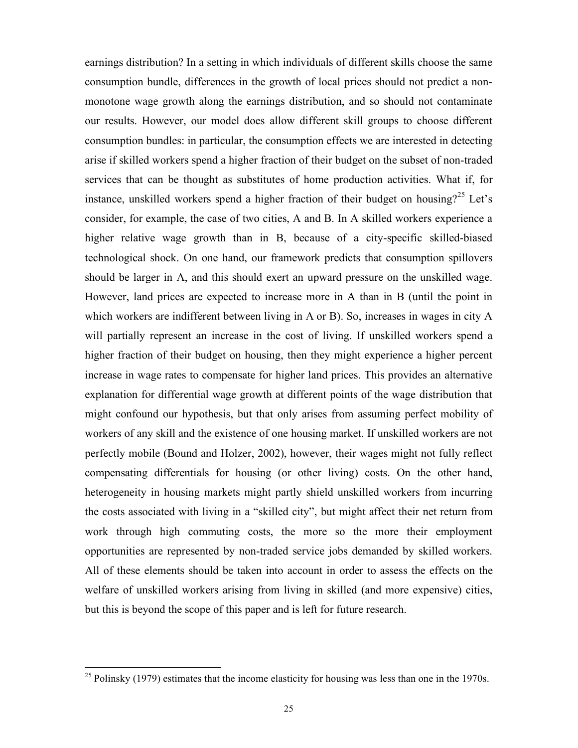earnings distribution? In a setting in which individuals of different skills choose the same consumption bundle, differences in the growth of local prices should not predict a nonmonotone wage growth along the earnings distribution, and so should not contaminate our results. However, our model does allow different skill groups to choose different consumption bundles: in particular, the consumption effects we are interested in detecting arise if skilled workers spend a higher fraction of their budget on the subset of non-traded services that can be thought as substitutes of home production activities. What if, for instance, unskilled workers spend a higher fraction of their budget on housing?<sup>25</sup> Let's consider, for example, the case of two cities, A and B. In A skilled workers experience a higher relative wage growth than in B, because of a city-specific skilled-biased technological shock. On one hand, our framework predicts that consumption spillovers should be larger in A, and this should exert an upward pressure on the unskilled wage. However, land prices are expected to increase more in A than in B (until the point in which workers are indifferent between living in A or B). So, increases in wages in city A will partially represent an increase in the cost of living. If unskilled workers spend a higher fraction of their budget on housing, then they might experience a higher percent increase in wage rates to compensate for higher land prices. This provides an alternative explanation for differential wage growth at different points of the wage distribution that might confound our hypothesis, but that only arises from assuming perfect mobility of workers of any skill and the existence of one housing market. If unskilled workers are not perfectly mobile (Bound and Holzer, 2002), however, their wages might not fully reflect compensating differentials for housing (or other living) costs. On the other hand, heterogeneity in housing markets might partly shield unskilled workers from incurring the costs associated with living in a "skilled city", but might affect their net return from work through high commuting costs, the more so the more their employment opportunities are represented by non-traded service jobs demanded by skilled workers. All of these elements should be taken into account in order to assess the effects on the welfare of unskilled workers arising from living in skilled (and more expensive) cities, but this is beyond the scope of this paper and is left for future research.

 $25$  Polinsky (1979) estimates that the income elasticity for housing was less than one in the 1970s.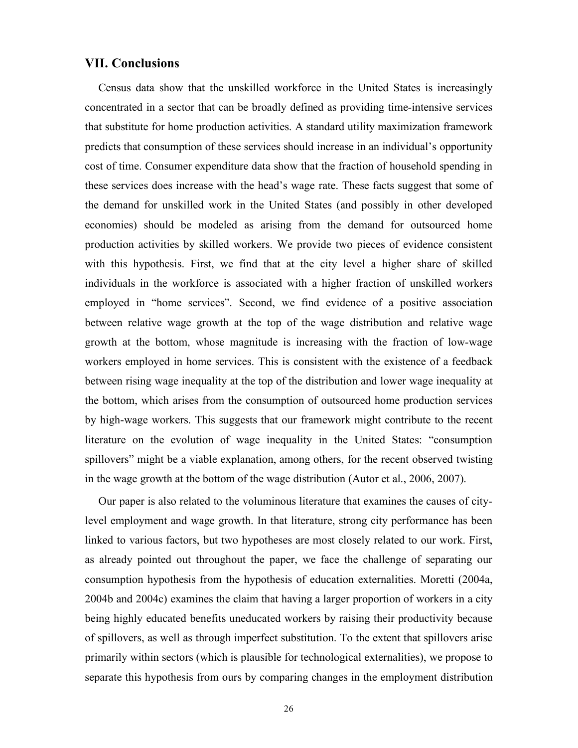## **VII. Conclusions**

Census data show that the unskilled workforce in the United States is increasingly concentrated in a sector that can be broadly defined as providing time-intensive services that substitute for home production activities. A standard utility maximization framework predicts that consumption of these services should increase in an individual's opportunity cost of time. Consumer expenditure data show that the fraction of household spending in these services does increase with the head's wage rate. These facts suggest that some of the demand for unskilled work in the United States (and possibly in other developed economies) should be modeled as arising from the demand for outsourced home production activities by skilled workers. We provide two pieces of evidence consistent with this hypothesis. First, we find that at the city level a higher share of skilled individuals in the workforce is associated with a higher fraction of unskilled workers employed in "home services". Second, we find evidence of a positive association between relative wage growth at the top of the wage distribution and relative wage growth at the bottom, whose magnitude is increasing with the fraction of low-wage workers employed in home services. This is consistent with the existence of a feedback between rising wage inequality at the top of the distribution and lower wage inequality at the bottom, which arises from the consumption of outsourced home production services by high-wage workers. This suggests that our framework might contribute to the recent literature on the evolution of wage inequality in the United States: "consumption spillovers" might be a viable explanation, among others, for the recent observed twisting in the wage growth at the bottom of the wage distribution (Autor et al., 2006, 2007).

Our paper is also related to the voluminous literature that examines the causes of citylevel employment and wage growth. In that literature, strong city performance has been linked to various factors, but two hypotheses are most closely related to our work. First, as already pointed out throughout the paper, we face the challenge of separating our consumption hypothesis from the hypothesis of education externalities. Moretti (2004a, 2004b and 2004c) examines the claim that having a larger proportion of workers in a city being highly educated benefits uneducated workers by raising their productivity because of spillovers, as well as through imperfect substitution. To the extent that spillovers arise primarily within sectors (which is plausible for technological externalities), we propose to separate this hypothesis from ours by comparing changes in the employment distribution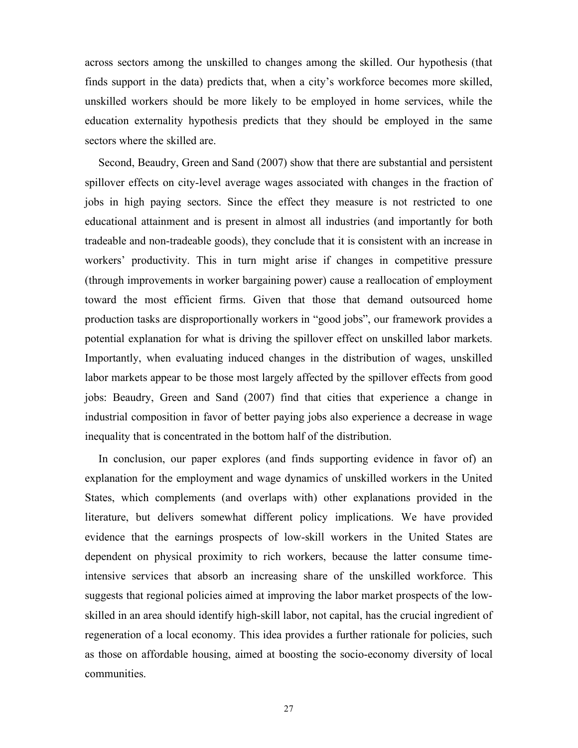across sectors among the unskilled to changes among the skilled. Our hypothesis (that finds support in the data) predicts that, when a city's workforce becomes more skilled, unskilled workers should be more likely to be employed in home services, while the education externality hypothesis predicts that they should be employed in the same sectors where the skilled are.

Second, Beaudry, Green and Sand (2007) show that there are substantial and persistent spillover effects on city-level average wages associated with changes in the fraction of jobs in high paying sectors. Since the effect they measure is not restricted to one educational attainment and is present in almost all industries (and importantly for both tradeable and non-tradeable goods), they conclude that it is consistent with an increase in workers' productivity. This in turn might arise if changes in competitive pressure (through improvements in worker bargaining power) cause a reallocation of employment toward the most efficient firms. Given that those that demand outsourced home production tasks are disproportionally workers in "good jobs", our framework provides a potential explanation for what is driving the spillover effect on unskilled labor markets. Importantly, when evaluating induced changes in the distribution of wages, unskilled labor markets appear to be those most largely affected by the spillover effects from good jobs: Beaudry, Green and Sand (2007) find that cities that experience a change in industrial composition in favor of better paying jobs also experience a decrease in wage inequality that is concentrated in the bottom half of the distribution.

In conclusion, our paper explores (and finds supporting evidence in favor of) an explanation for the employment and wage dynamics of unskilled workers in the United States, which complements (and overlaps with) other explanations provided in the literature, but delivers somewhat different policy implications. We have provided evidence that the earnings prospects of low-skill workers in the United States are dependent on physical proximity to rich workers, because the latter consume timeintensive services that absorb an increasing share of the unskilled workforce. This suggests that regional policies aimed at improving the labor market prospects of the lowskilled in an area should identify high-skill labor, not capital, has the crucial ingredient of regeneration of a local economy. This idea provides a further rationale for policies, such as those on affordable housing, aimed at boosting the socio-economy diversity of local communities.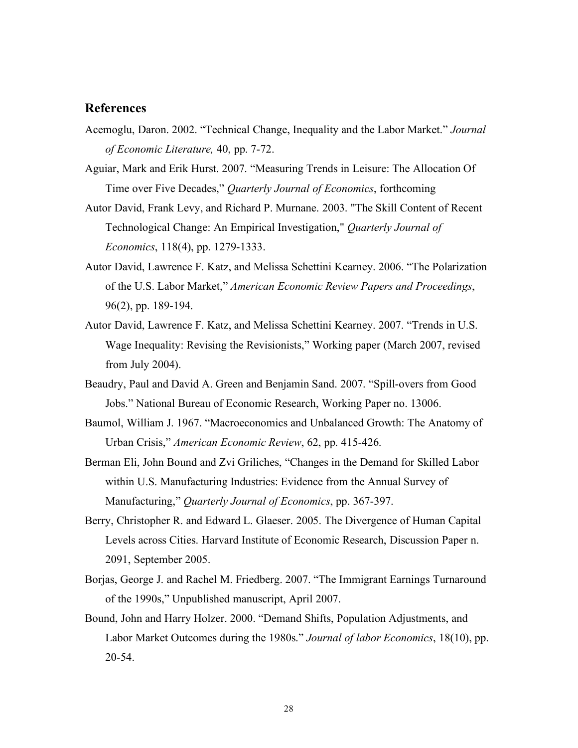## **References**

- Acemoglu, Daron. 2002. "Technical Change, Inequality and the Labor Market." *Journal of Economic Literature,* 40, pp. 7-72.
- Aguiar, Mark and Erik Hurst. 2007. "Measuring Trends in Leisure: The Allocation Of Time over Five Decades," *Quarterly Journal of Economics*, forthcoming
- Autor David, Frank Levy, and Richard P. Murnane. 2003. "The Skill Content of Recent Technological Change: An Empirical Investigation," *Quarterly Journal of Economics*, 118(4), pp. 1279-1333.
- Autor David, Lawrence F. Katz, and Melissa Schettini Kearney. 2006. "The Polarization of the U.S. Labor Market," *American Economic Review Papers and Proceedings*, 96(2), pp. 189-194.
- Autor David, Lawrence F. Katz, and Melissa Schettini Kearney. 2007. "Trends in U.S. Wage Inequality: Revising the Revisionists," Working paper (March 2007, revised from July 2004).
- Beaudry, Paul and David A. Green and Benjamin Sand. 2007. "Spill-overs from Good Jobs." National Bureau of Economic Research, Working Paper no. 13006.
- Baumol, William J. 1967. "Macroeconomics and Unbalanced Growth: The Anatomy of Urban Crisis," *American Economic Review*, 62, pp. 415-426.
- Berman Eli, John Bound and Zvi Griliches, "Changes in the Demand for Skilled Labor within U.S. Manufacturing Industries: Evidence from the Annual Survey of Manufacturing," *Quarterly Journal of Economics*, pp. 367-397.
- Berry, Christopher R. and Edward L. Glaeser. 2005. The Divergence of Human Capital Levels across Cities. Harvard Institute of Economic Research, Discussion Paper n. 2091, September 2005.
- Borjas, George J. and Rachel M. Friedberg. 2007. "The Immigrant Earnings Turnaround of the 1990s," Unpublished manuscript, April 2007.
- Bound, John and Harry Holzer. 2000. "Demand Shifts, Population Adjustments, and Labor Market Outcomes during the 1980s." *Journal of labor Economics*, 18(10), pp. 20-54.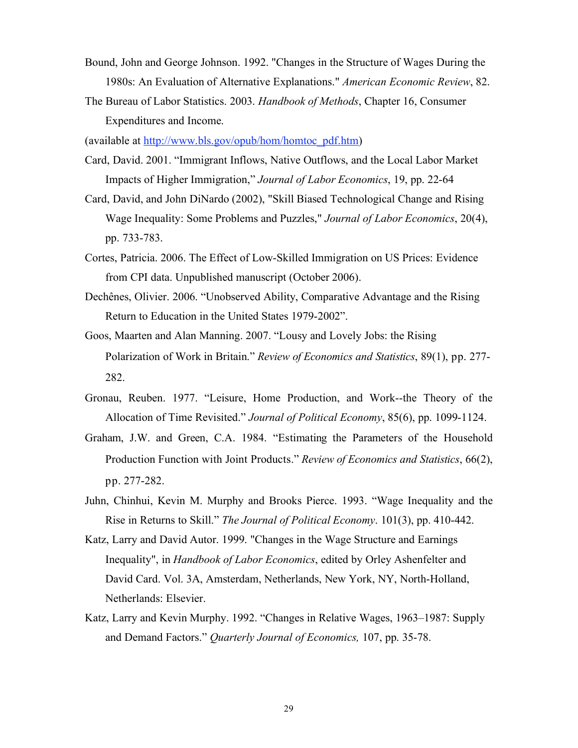- Bound, John and George Johnson. 1992. "Changes in the Structure of Wages During the 1980s: An Evaluation of Alternative Explanations." *American Economic Review*, 82.
- The Bureau of Labor Statistics. 2003. *Handbook of Methods*, Chapter 16, Consumer Expenditures and Income.

(available at http://www.bls.gov/opub/hom/homtoc\_pdf.htm)

- Card, David. 2001. "Immigrant Inflows, Native Outflows, and the Local Labor Market Impacts of Higher Immigration," *Journal of Labor Economics*, 19, pp. 22-64
- Card, David, and John DiNardo (2002), "Skill Biased Technological Change and Rising Wage Inequality: Some Problems and Puzzles," *Journal of Labor Economics*, 20(4), pp. 733-783.
- Cortes, Patricia. 2006. The Effect of Low-Skilled Immigration on US Prices: Evidence from CPI data. Unpublished manuscript (October 2006).
- Dechênes, Olivier. 2006. "Unobserved Ability, Comparative Advantage and the Rising Return to Education in the United States 1979-2002".
- Goos, Maarten and Alan Manning. 2007. "Lousy and Lovely Jobs: the Rising Polarization of Work in Britain." *Review of Economics and Statistics*, 89(1), pp. 277- 282.
- Gronau, Reuben. 1977. "Leisure, Home Production, and Work--the Theory of the Allocation of Time Revisited." *Journal of Political Economy*, 85(6), pp. 1099-1124.
- Graham, J.W. and Green, C.A. 1984. "Estimating the Parameters of the Household Production Function with Joint Products." *Review of Economics and Statistics*, 66(2), pp. 277-282.
- Juhn, Chinhui, Kevin M. Murphy and Brooks Pierce. 1993. "Wage Inequality and the Rise in Returns to Skill." *The Journal of Political Economy*. 101(3), pp. 410-442.
- Katz, Larry and David Autor. 1999. "Changes in the Wage Structure and Earnings Inequality", in *Handbook of Labor Economics*, edited by Orley Ashenfelter and David Card. Vol. 3A, Amsterdam, Netherlands, New York, NY, North-Holland, Netherlands: Elsevier.
- Katz, Larry and Kevin Murphy. 1992. "Changes in Relative Wages, 1963–1987: Supply and Demand Factors." *Quarterly Journal of Economics,* 107, pp. 35-78.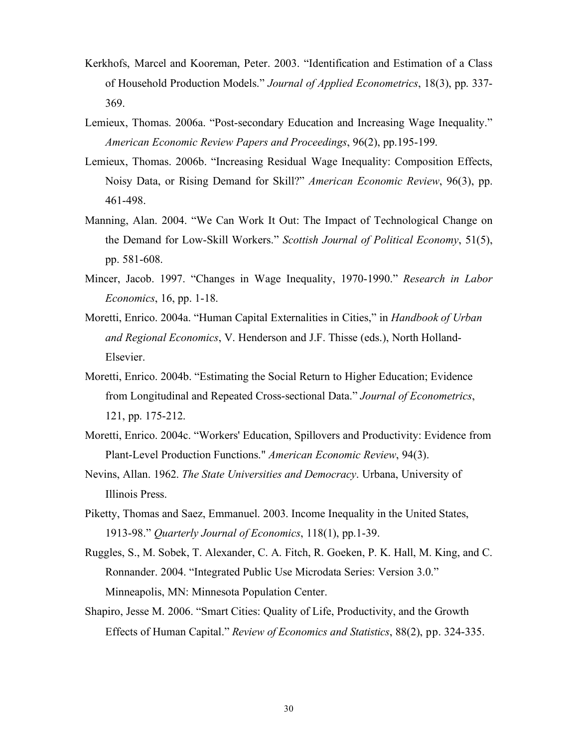- Kerkhofs, Marcel and Kooreman, Peter. 2003. "Identification and Estimation of a Class of Household Production Models." *Journal of Applied Econometrics*, 18(3), pp. 337- 369.
- Lemieux, Thomas. 2006a. "Post-secondary Education and Increasing Wage Inequality." *American Economic Review Papers and Proceedings*, 96(2), pp.195-199.
- Lemieux, Thomas. 2006b. "Increasing Residual Wage Inequality: Composition Effects, Noisy Data, or Rising Demand for Skill?" *American Economic Review*, 96(3), pp. 461-498.
- Manning, Alan. 2004. "We Can Work It Out: The Impact of Technological Change on the Demand for Low-Skill Workers." *Scottish Journal of Political Economy*, 51(5), pp. 581-608.
- Mincer, Jacob. 1997. "Changes in Wage Inequality, 1970-1990." *Research in Labor Economics*, 16, pp. 1-18.
- Moretti, Enrico. 2004a. "Human Capital Externalities in Cities," in *Handbook of Urban and Regional Economics*, V. Henderson and J.F. Thisse (eds.), North Holland-Elsevier.
- Moretti, Enrico. 2004b. "Estimating the Social Return to Higher Education; Evidence from Longitudinal and Repeated Cross-sectional Data." *Journal of Econometrics*, 121, pp. 175-212.
- Moretti, Enrico. 2004c. "Workers' Education, Spillovers and Productivity: Evidence from Plant-Level Production Functions." *American Economic Review*, 94(3).
- Nevins, Allan. 1962. *The State Universities and Democracy*. Urbana, University of Illinois Press.
- Piketty, Thomas and Saez, Emmanuel. 2003. Income Inequality in the United States, 1913-98." *Quarterly Journal of Economics*, 118(1), pp.1-39.
- Ruggles, S., M. Sobek, T. Alexander, C. A. Fitch, R. Goeken, P. K. Hall, M. King, and C. Ronnander. 2004. "Integrated Public Use Microdata Series: Version 3.0." Minneapolis, MN: Minnesota Population Center.
- Shapiro, Jesse M. 2006. "Smart Cities: Quality of Life, Productivity, and the Growth Effects of Human Capital." *Review of Economics and Statistics*, 88(2), pp. 324-335.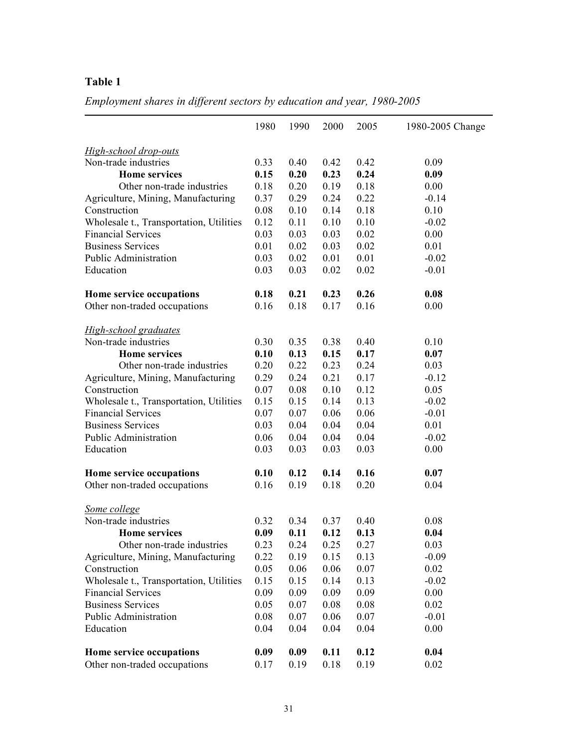*Employment shares in different sectors by education and year, 1980-2005*

|                                         | 1980 | 1990 | 2000 | 2005 | 1980-2005 Change |
|-----------------------------------------|------|------|------|------|------------------|
| <b>High-school drop-outs</b>            |      |      |      |      |                  |
| Non-trade industries                    | 0.33 | 0.40 | 0.42 | 0.42 | 0.09             |
| <b>Home services</b>                    | 0.15 | 0.20 | 0.23 | 0.24 | 0.09             |
| Other non-trade industries              | 0.18 | 0.20 | 0.19 | 0.18 | 0.00             |
| Agriculture, Mining, Manufacturing      | 0.37 | 0.29 | 0.24 | 0.22 | $-0.14$          |
| Construction                            | 0.08 | 0.10 | 0.14 | 0.18 | 0.10             |
| Wholesale t., Transportation, Utilities | 0.12 | 0.11 | 0.10 | 0.10 | $-0.02$          |
| <b>Financial Services</b>               | 0.03 | 0.03 | 0.03 | 0.02 | 0.00             |
| <b>Business Services</b>                | 0.01 | 0.02 | 0.03 | 0.02 | 0.01             |
| Public Administration                   | 0.03 | 0.02 | 0.01 | 0.01 | $-0.02$          |
| Education                               | 0.03 | 0.03 | 0.02 | 0.02 | $-0.01$          |
| Home service occupations                | 0.18 | 0.21 | 0.23 | 0.26 | 0.08             |
| Other non-traded occupations            | 0.16 | 0.18 | 0.17 | 0.16 | 0.00             |
| <b>High-school graduates</b>            |      |      |      |      |                  |
| Non-trade industries                    | 0.30 | 0.35 | 0.38 | 0.40 | 0.10             |
| <b>Home services</b>                    | 0.10 | 0.13 | 0.15 | 0.17 | 0.07             |
| Other non-trade industries              | 0.20 | 0.22 | 0.23 | 0.24 | 0.03             |
| Agriculture, Mining, Manufacturing      | 0.29 | 0.24 | 0.21 | 0.17 | $-0.12$          |
| Construction                            | 0.07 | 0.08 | 0.10 | 0.12 | 0.05             |
| Wholesale t., Transportation, Utilities | 0.15 | 0.15 | 0.14 | 0.13 | $-0.02$          |
| <b>Financial Services</b>               | 0.07 | 0.07 | 0.06 | 0.06 | $-0.01$          |
| <b>Business Services</b>                | 0.03 | 0.04 | 0.04 | 0.04 | 0.01             |
| Public Administration                   | 0.06 | 0.04 | 0.04 | 0.04 | $-0.02$          |
| Education                               | 0.03 | 0.03 | 0.03 | 0.03 | 0.00             |
| Home service occupations                | 0.10 | 0.12 | 0.14 | 0.16 | 0.07             |
| Other non-traded occupations            | 0.16 | 0.19 | 0.18 | 0.20 | 0.04             |
| Some college                            |      |      |      |      |                  |
| Non-trade industries                    | 0.32 | 0.34 | 0.37 | 0.40 | 0.08             |
| <b>Home services</b>                    | 0.09 | 0.11 | 0.12 | 0.13 | 0.04             |
| Other non-trade industries              | 0.23 | 0.24 | 0.25 | 0.27 | 0.03             |
| Agriculture, Mining, Manufacturing      | 0.22 | 0.19 | 0.15 | 0.13 | $-0.09$          |
| Construction                            | 0.05 | 0.06 | 0.06 | 0.07 | 0.02             |
| Wholesale t., Transportation, Utilities | 0.15 | 0.15 | 0.14 | 0.13 | $-0.02$          |
| <b>Financial Services</b>               | 0.09 | 0.09 | 0.09 | 0.09 | 0.00             |
| <b>Business Services</b>                | 0.05 | 0.07 | 0.08 | 0.08 | 0.02             |
| Public Administration                   | 0.08 | 0.07 | 0.06 | 0.07 | $-0.01$          |
| Education                               | 0.04 | 0.04 | 0.04 | 0.04 | 0.00             |
| Home service occupations                | 0.09 | 0.09 | 0.11 | 0.12 | 0.04             |
| Other non-traded occupations            | 0.17 | 0.19 | 0.18 | 0.19 | 0.02             |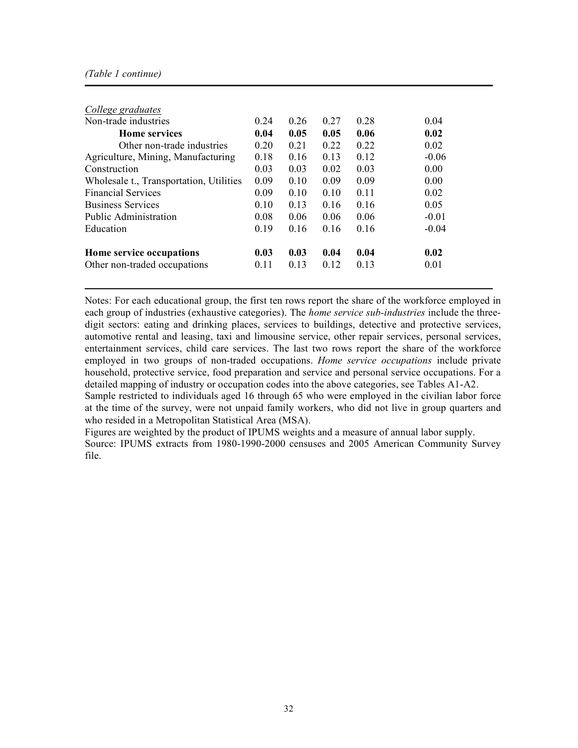#### *(Table 1 continue)*

| College graduates                       |      |      |                 |      |         |
|-----------------------------------------|------|------|-----------------|------|---------|
| Non-trade industries                    | 0.24 | 0.26 | 0.27            | 0.28 | 0.04    |
| <b>Home services</b>                    | 0.04 | 0.05 | 0.05            | 0.06 | 0.02    |
| Other non-trade industries              | 0.20 | 0.21 | 0.22            | 0.22 | 0.02    |
| Agriculture, Mining, Manufacturing      | 0.18 | 0.16 | 0.13            | 0.12 | $-0.06$ |
| Construction                            | 0.03 | 0.03 | 0.02            | 0.03 | 0.00    |
| Wholesale t., Transportation, Utilities | 0.09 | 0.10 | 0.09            | 0.09 | 0.00    |
| <b>Financial Services</b>               | 0.09 | 0.10 | 0.10            | 0.11 | 0.02    |
| <b>Business Services</b>                | 0.10 | 0.13 | 0.16            | 0.16 | 0.05    |
| Public Administration                   | 0.08 | 0.06 | 0.06            | 0.06 | $-0.01$ |
| Education                               | 0.19 | 0.16 | 0.16            | 0.16 | $-0.04$ |
| Home service occupations                | 0.03 | 0.03 | 0.04            | 0.04 | 0.02    |
| Other non-traded occupations            | 0.11 | 0.13 | 0 <sub>12</sub> | 0.13 | 0.01    |

Notes: For each educational group, the first ten rows report the share of the workforce employed in each group of industries (exhaustive categories). The *home service sub-industries* include the threedigit sectors: eating and drinking places, services to buildings, detective and protective services, automotive rental and leasing, taxi and limousine service, other repair services, personal services, entertainment services, child care services. The last two rows report the share of the workforce employed in two groups of non-traded occupations. *Home service occupations* include private household, protective service, food preparation and service and personal service occupations. For a detailed mapping of industry or occupation codes into the above categories, see Tables A1-A2. Sample restricted to individuals aged 16 through 65 who were employed in the civilian labor force at the time of the survey, were not unpaid family workers, who did not live in group quarters and who resided in a Metropolitan Statistical Area (MSA).

Figures are weighted by the product of IPUMS weights and a measure of annual labor supply. Source: IPUMS extracts from 1980-1990-2000 censuses and 2005 American Community Survey file.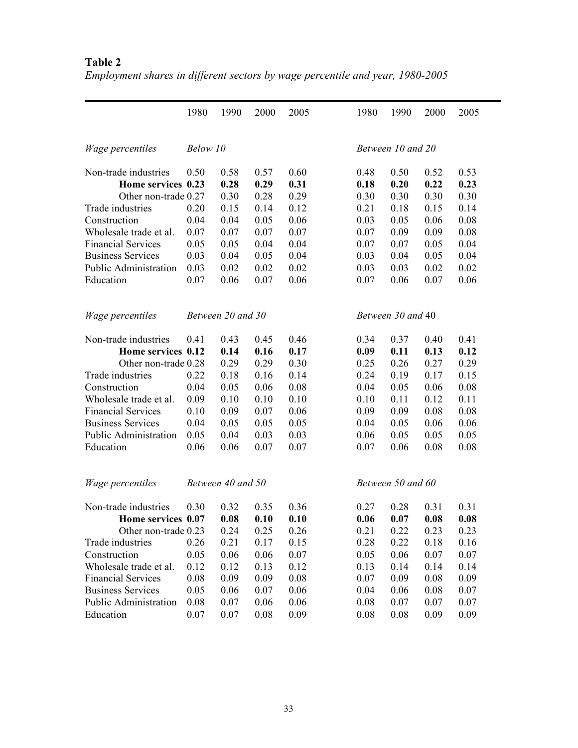|                              | 1980     | 1990              | 2000 | 2005 | 1980              | 1990              | 2000 | 2005 |
|------------------------------|----------|-------------------|------|------|-------------------|-------------------|------|------|
| Wage percentiles             | Below 10 |                   |      |      |                   | Between 10 and 20 |      |      |
| Non-trade industries         | 0.50     | 0.58              | 0.57 | 0.60 | 0.48              | 0.50              | 0.52 | 0.53 |
| Home services 0.23           |          | 0.28              | 0.29 | 0.31 | 0.18              | 0.20              | 0.22 | 0.23 |
| Other non-trade 0.27         |          | 0.30              | 0.28 | 0.29 | 0.30              | 0.30              | 0.30 | 0.30 |
| Trade industries             | 0.20     | 0.15              | 0.14 | 0.12 | 0.21              | 0.18              | 0.15 | 0.14 |
| Construction                 | 0.04     | 0.04              | 0.05 | 0.06 | 0.03              | 0.05              | 0.06 | 0.08 |
| Wholesale trade et al.       | 0.07     | 0.07              | 0.07 | 0.07 | 0.07              | 0.09              | 0.09 | 0.08 |
| <b>Financial Services</b>    | 0.05     | 0.05              | 0.04 | 0.04 | 0.07              | 0.07              | 0.05 | 0.04 |
| <b>Business Services</b>     | 0.03     | 0.04              | 0.05 | 0.04 | 0.03              | 0.04              | 0.05 | 0.04 |
| Public Administration        | 0.03     | 0.02              | 0.02 | 0.02 | 0.03              | 0.03              | 0.02 | 0.02 |
| Education                    | 0.07     | 0.06              | 0.07 | 0.06 | 0.07              | 0.06              | 0.07 | 0.06 |
| Wage percentiles             |          | Between 20 and 30 |      |      | Between 30 and 40 |                   |      |      |
| Non-trade industries         | 0.41     | 0.43              | 0.45 | 0.46 | 0.34              | 0.37              | 0.40 | 0.41 |
| Home services 0.12           |          | 0.14              | 0.16 | 0.17 | 0.09              | 0.11              | 0.13 | 0.12 |
| Other non-trade 0.28         |          | 0.29              | 0.29 | 0.30 | 0.25              | 0.26              | 0.27 | 0.29 |
| Trade industries             | 0.22     | 0.18              | 0.16 | 0.14 | 0.24              | 0.19              | 0.17 | 0.15 |
| Construction                 | 0.04     | 0.05              | 0.06 | 0.08 | 0.04              | 0.05              | 0.06 | 0.08 |
| Wholesale trade et al.       | 0.09     | 0.10              | 0.10 | 0.10 | 0.10              | 0.11              | 0.12 | 0.11 |
| <b>Financial Services</b>    | 0.10     | 0.09              | 0.07 | 0.06 | 0.09              | 0.09              | 0.08 | 0.08 |
| <b>Business Services</b>     | 0.04     | 0.05              | 0.05 | 0.05 | 0.04              | 0.05              | 0.06 | 0.06 |
| <b>Public Administration</b> | 0.05     | 0.04              | 0.03 | 0.03 | 0.06              | 0.05              | 0.05 | 0.05 |
| Education                    | 0.06     | 0.06              | 0.07 | 0.07 | 0.07              | 0.06              | 0.08 | 0.08 |
| Wage percentiles             |          | Between 40 and 50 |      |      |                   | Between 50 and 60 |      |      |
| Non-trade industries         | 0.30     | 0.32              | 0.35 | 0.36 | 0.27              | 0.28              | 0.31 | 0.31 |
| Home services 0.07           |          | 0.08              | 0.10 | 0.10 | 0.06              | 0.07              | 0.08 | 0.08 |
| Other non-trade 0.23         |          | 0.24              | 0.25 | 0.26 | 0.21              | 0.22              | 0.23 | 0.23 |
| Trade industries             | 0.26     | 0.21              | 0.17 | 0.15 | 0.28              | 0.22              | 0.18 | 0.16 |
| Construction                 | 0.05     | 0.06              | 0.06 | 0.07 | 0.05              | 0.06              | 0.07 | 0.07 |
| Wholesale trade et al.       | 0.12     | 0.12              | 0.13 | 0.12 | 0.13              | 0.14              | 0.14 | 0.14 |
| <b>Financial Services</b>    | 0.08     | 0.09              | 0.09 | 0.08 | 0.07              | 0.09              | 0.08 | 0.09 |
| <b>Business Services</b>     | 0.05     | 0.06              | 0.07 | 0.06 | 0.04              | 0.06              | 0.08 | 0.07 |
| Public Administration        | 0.08     | 0.07              | 0.06 | 0.06 | 0.08              | 0.07              | 0.07 | 0.07 |
| Education                    | 0.07     | 0.07              | 0.08 | 0.09 | 0.08              | 0.08              | 0.09 | 0.09 |

# **Table 2** *Employment shares in different sectors by wage percentile and year, 1980-2005*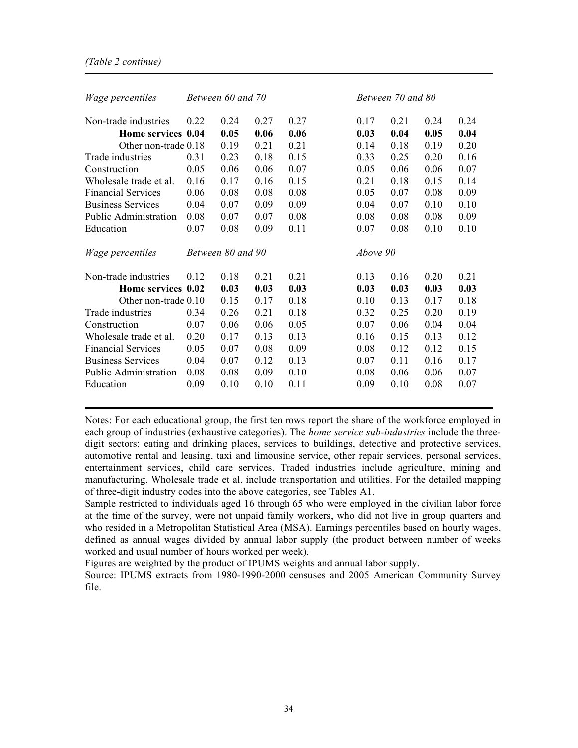| <i>Wage percentiles</i>   |      | Between 60 and 70 |      |      |          | Between 70 and 80 |      |      |
|---------------------------|------|-------------------|------|------|----------|-------------------|------|------|
| Non-trade industries      | 0.22 | 0.24              | 0.27 | 0.27 | 0.17     | 0.21              | 0.24 | 0.24 |
| Home services 0.04        |      | 0.05              | 0.06 | 0.06 | 0.03     | 0.04              | 0.05 | 0.04 |
| Other non-trade 0.18      |      | 0.19              | 0.21 | 0.21 | 0.14     | 0.18              | 0.19 | 0.20 |
| Trade industries          | 0.31 | 0.23              | 0.18 | 0.15 | 0.33     | 0.25              | 0.20 | 0.16 |
| Construction              | 0.05 | 0.06              | 0.06 | 0.07 | 0.05     | 0.06              | 0.06 | 0.07 |
| Wholesale trade et al.    | 0.16 | 0.17              | 0.16 | 0.15 | 0.21     | 0.18              | 0.15 | 0.14 |
| <b>Financial Services</b> | 0.06 | 0.08              | 0.08 | 0.08 | 0.05     | 0.07              | 0.08 | 0.09 |
| <b>Business Services</b>  | 0.04 | 0.07              | 0.09 | 0.09 | 0.04     | 0.07              | 0.10 | 0.10 |
| Public Administration     | 0.08 | 0.07              | 0.07 | 0.08 | 0.08     | 0.08              | 0.08 | 0.09 |
| Education                 | 0.07 | 0.08              | 0.09 | 0.11 | 0.07     | 0.08              | 0.10 | 0.10 |
| <i>Wage percentiles</i>   |      | Between 80 and 90 |      |      | Above 90 |                   |      |      |
| Non-trade industries      | 0.12 | 0.18              | 0.21 | 0.21 | 0.13     | 0.16              | 0.20 | 0.21 |
| Home services 0.02        |      | 0.03              | 0.03 | 0.03 | 0.03     | 0.03              | 0.03 | 0.03 |
| Other non-trade 0.10      |      | 0.15              | 0.17 | 0.18 | 0.10     | 0.13              | 0.17 | 0.18 |
| Trade industries          | 0.34 | 0.26              | 0.21 | 0.18 | 0.32     | 0.25              | 0.20 | 0.19 |
| Construction              | 0.07 | 0.06              | 0.06 | 0.05 | 0.07     | 0.06              | 0.04 | 0.04 |
| Wholesale trade et al.    | 0.20 | 0.17              | 0.13 | 0.13 | 0.16     | 0.15              | 0.13 | 0.12 |
| <b>Financial Services</b> | 0.05 | 0.07              | 0.08 | 0.09 | 0.08     | 0.12              | 0.12 | 0.15 |
| <b>Business Services</b>  | 0.04 | 0.07              | 0.12 | 0.13 | 0.07     | 0.11              | 0.16 | 0.17 |
| Public Administration     | 0.08 | 0.08              | 0.09 | 0.10 | 0.08     | 0.06              | 0.06 | 0.07 |
| Education                 | 0.09 | 0.10              | 0.10 | 0.11 | 0.09     | 0.10              | 0.08 | 0.07 |

Notes: For each educational group, the first ten rows report the share of the workforce employed in each group of industries (exhaustive categories). The *home service sub-industries* include the threedigit sectors: eating and drinking places, services to buildings, detective and protective services, automotive rental and leasing, taxi and limousine service, other repair services, personal services, entertainment services, child care services. Traded industries include agriculture, mining and manufacturing. Wholesale trade et al. include transportation and utilities. For the detailed mapping of three-digit industry codes into the above categories, see Tables A1.

Sample restricted to individuals aged 16 through 65 who were employed in the civilian labor force at the time of the survey, were not unpaid family workers, who did not live in group quarters and who resided in a Metropolitan Statistical Area (MSA). Earnings percentiles based on hourly wages, defined as annual wages divided by annual labor supply (the product between number of weeks worked and usual number of hours worked per week).

Figures are weighted by the product of IPUMS weights and annual labor supply.

Source: IPUMS extracts from 1980-1990-2000 censuses and 2005 American Community Survey file.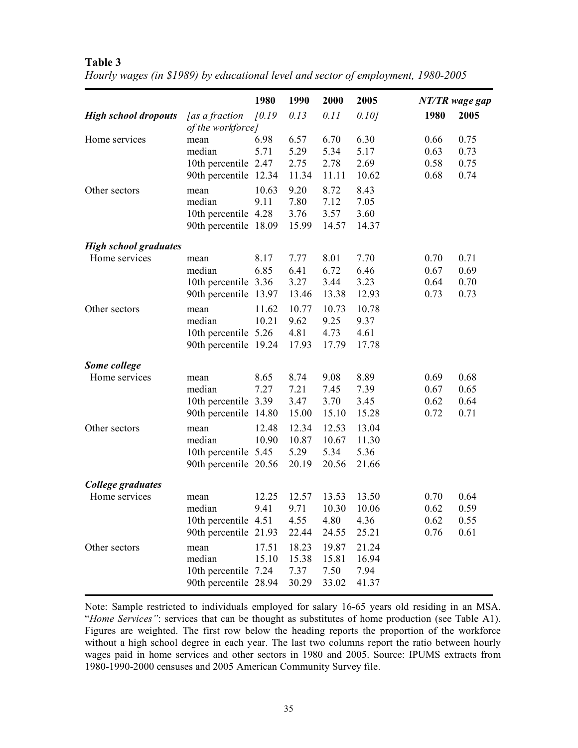|                                               |                                                                 | 1980           | 1990                            | 2000                            | 2005                            |                              | NT/TR wage gap               |
|-----------------------------------------------|-----------------------------------------------------------------|----------------|---------------------------------|---------------------------------|---------------------------------|------------------------------|------------------------------|
| <b>High school dropouts</b>                   | <i>as a fraction</i><br>of the workforce]                       | f0.19          | 0.13                            | 0.11                            | 0.101                           | 1980                         | 2005                         |
| Home services                                 | mean<br>median<br>10th percentile 2.47<br>90th percentile 12.34 | 6.98<br>5.71   | 6.57<br>5.29<br>2.75<br>11.34   | 6.70<br>5.34<br>2.78<br>11.11   | 6.30<br>5.17<br>2.69<br>10.62   | 0.66<br>0.63<br>0.58<br>0.68 | 0.75<br>0.73<br>0.75<br>0.74 |
| Other sectors                                 | mean<br>median<br>10th percentile 4.28<br>90th percentile 18.09 | 10.63<br>9.11  | 9.20<br>7.80<br>3.76<br>15.99   | 8.72<br>7.12<br>3.57<br>14.57   | 8.43<br>7.05<br>3.60<br>14.37   |                              |                              |
| <b>High school graduates</b><br>Home services | mean<br>median<br>10th percentile 3.36<br>90th percentile 13.97 | 8.17<br>6.85   | 7.77<br>6.41<br>3.27<br>13.46   | 8.01<br>6.72<br>3.44<br>13.38   | 7.70<br>6.46<br>3.23<br>12.93   | 0.70<br>0.67<br>0.64<br>0.73 | 0.71<br>0.69<br>0.70<br>0.73 |
| Other sectors                                 | mean<br>median<br>10th percentile 5.26<br>90th percentile 19.24 | 11.62<br>10.21 | 10.77<br>9.62<br>4.81<br>17.93  | 10.73<br>9.25<br>4.73<br>17.79  | 10.78<br>9.37<br>4.61<br>17.78  |                              |                              |
| Some college                                  |                                                                 |                |                                 |                                 |                                 |                              |                              |
| Home services                                 | mean<br>median<br>10th percentile 3.39<br>90th percentile 14.80 | 8.65<br>7.27   | 8.74<br>7.21<br>3.47<br>15.00   | 9.08<br>7.45<br>3.70<br>15.10   | 8.89<br>7.39<br>3.45<br>15.28   | 0.69<br>0.67<br>0.62<br>0.72 | 0.68<br>0.65<br>0.64<br>0.71 |
| Other sectors                                 | mean<br>median<br>10th percentile 5.45<br>90th percentile 20.56 | 12.48<br>10.90 | 12.34<br>10.87<br>5.29<br>20.19 | 12.53<br>10.67<br>5.34<br>20.56 | 13.04<br>11.30<br>5.36<br>21.66 |                              |                              |
| College graduates                             |                                                                 |                |                                 |                                 |                                 |                              |                              |
| Home services                                 | mean<br>median<br>10th percentile 4.51<br>90th percentile 21.93 | 12.25<br>9.41  | 12.57<br>9.71<br>4.55<br>22.44  | 13.53<br>10.30<br>4.80<br>24.55 | 13.50<br>10.06<br>4.36<br>25.21 | 0.70<br>0.62<br>0.62<br>0.76 | 0.64<br>0.59<br>0.55<br>0.61 |
| Other sectors                                 | mean<br>median<br>10th percentile 7.24<br>90th percentile 28.94 | 17.51<br>15.10 | 18.23<br>15.38<br>7.37<br>30.29 | 19.87<br>15.81<br>7.50<br>33.02 | 21.24<br>16.94<br>7.94<br>41.37 |                              |                              |

*Hourly wages (in \$1989) by educational level and sector of employment, 1980-2005*

Note: Sample restricted to individuals employed for salary 16-65 years old residing in an MSA. "*Home Services"*: services that can be thought as substitutes of home production (see Table A1). Figures are weighted. The first row below the heading reports the proportion of the workforce without a high school degree in each year. The last two columns report the ratio between hourly wages paid in home services and other sectors in 1980 and 2005. Source: IPUMS extracts from 1980-1990-2000 censuses and 2005 American Community Survey file.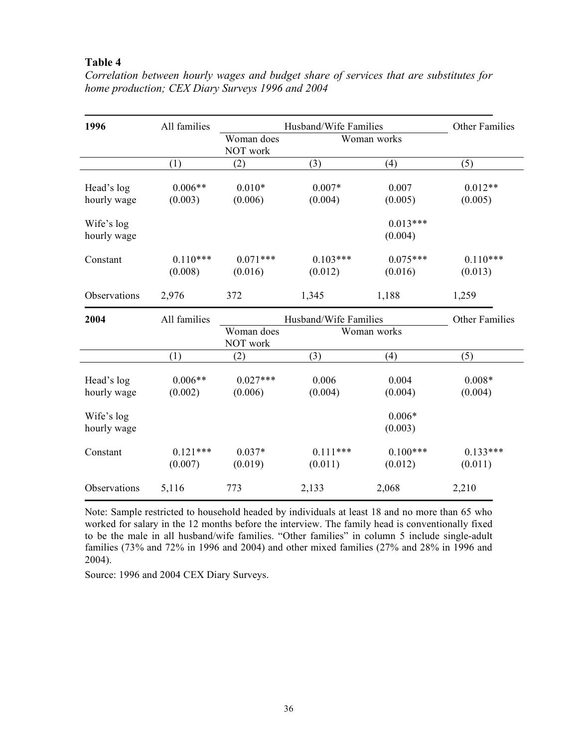| 1996                      | All families          |                        | Husband/Wife Families |                       | Other Families        |
|---------------------------|-----------------------|------------------------|-----------------------|-----------------------|-----------------------|
|                           |                       | Woman does<br>NOT work |                       | Woman works           |                       |
|                           | (1)                   | (2)                    | (3)                   | (4)                   | (5)                   |
| Head's log<br>hourly wage | $0.006**$<br>(0.003)  | $0.010*$<br>(0.006)    | $0.007*$<br>(0.004)   | 0.007<br>(0.005)      | $0.012**$<br>(0.005)  |
| Wife's log<br>hourly wage |                       |                        |                       | $0.013***$<br>(0.004) |                       |
| Constant                  | $0.110***$<br>(0.008) | $0.071***$<br>(0.016)  | $0.103***$<br>(0.012) | $0.075***$<br>(0.016) | $0.110***$<br>(0.013) |
| Observations              | 2,976                 | 372                    | 1,345                 | 1,188                 | 1,259                 |
| 2004                      | All families          |                        | Husband/Wife Families |                       | <b>Other Families</b> |
|                           |                       | Woman does<br>NOT work |                       | Woman works           |                       |
|                           | (1)                   | (2)                    | (3)                   | (4)                   | (5)                   |
| Head's log<br>hourly wage | $0.006**$<br>(0.002)  | $0.027***$<br>(0.006)  | 0.006<br>(0.004)      | 0.004<br>(0.004)      | $0.008*$<br>(0.004)   |
| Wife's log<br>hourly wage |                       |                        |                       | $0.006*$<br>(0.003)   |                       |
| Constant                  | $0.121***$<br>(0.007) | $0.037*$<br>(0.019)    | $0.111***$<br>(0.011) | $0.100***$<br>(0.012) | $0.133***$<br>(0.011) |
| Observations              | 5,116                 | 773                    | 2,133                 | 2,068                 | 2,210                 |

*Correlation between hourly wages and budget share of services that are substitutes for home production; CEX Diary Surveys 1996 and 2004*

Note: Sample restricted to household headed by individuals at least 18 and no more than 65 who worked for salary in the 12 months before the interview. The family head is conventionally fixed to be the male in all husband/wife families. "Other families" in column 5 include single-adult families (73% and 72% in 1996 and 2004) and other mixed families (27% and 28% in 1996 and 2004).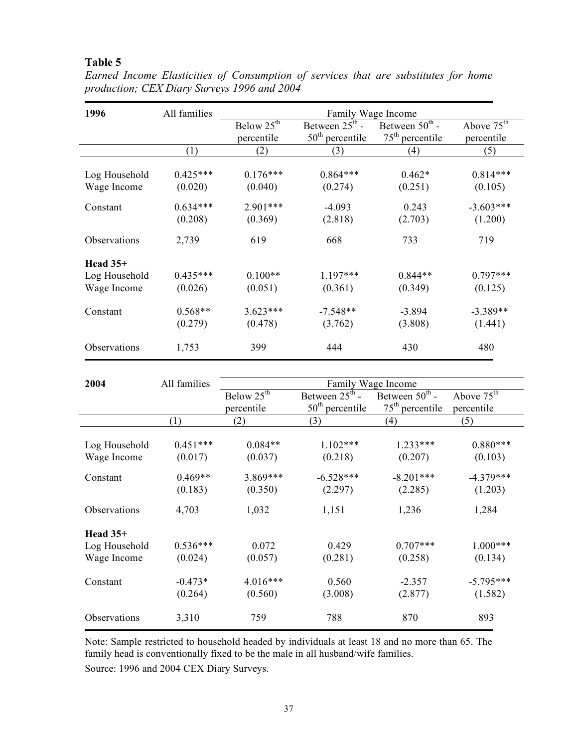| 1996          | All families | Family Wage Income     |                            |                            |                        |  |  |
|---------------|--------------|------------------------|----------------------------|----------------------------|------------------------|--|--|
|               |              | Below $25^{\text{th}}$ | Between $25^{\text{th}}$ - | Between $50^{\text{th}}$ - | Above $75^{\text{th}}$ |  |  |
|               |              | percentile             | $50th$ percentile          | $75th$ percentile          | percentile             |  |  |
|               | (1)          | (2)                    | (3)                        | (4)                        | (5)                    |  |  |
|               |              |                        |                            |                            |                        |  |  |
| Log Household | $0.425***$   | $0.176***$             | $0.864***$                 | $0.462*$                   | $0.814***$             |  |  |
| Wage Income   | (0.020)      | (0.040)                | (0.274)                    | (0.251)                    | (0.105)                |  |  |
| Constant      | $0.634***$   | $2.901***$             | $-4.093$                   | 0.243                      | $-3.603***$            |  |  |
|               | (0.208)      | (0.369)                | (2.818)                    | (2.703)                    | (1.200)                |  |  |
| Observations  | 2,739        | 619                    | 668                        | 733                        | 719                    |  |  |
| Head $35+$    |              |                        |                            |                            |                        |  |  |
| Log Household | $0.435***$   | $0.100**$              | $1.197***$                 | $0.844**$                  | $0.797***$             |  |  |
| Wage Income   | (0.026)      | (0.051)                | (0.361)                    | (0.349)                    | (0.125)                |  |  |
| Constant      | $0.568**$    | $3.623***$             | $-7.548**$                 | $-3.894$                   | $-3.389**$             |  |  |
|               | (0.279)      | (0.478)                | (3.762)                    | (3.808)                    | (1.441)                |  |  |
| Observations  | 1,753        | 399                    | 444                        | 430                        | 480                    |  |  |

*Earned Income Elasticities of Consumption of services that are substitutes for home production; CEX Diary Surveys 1996 and 2004*

| 2004                         | All families          | Family Wage Income     |                            |                            |                        |  |
|------------------------------|-----------------------|------------------------|----------------------------|----------------------------|------------------------|--|
|                              |                       | Below $25^{\text{th}}$ | Between $25^{\text{th}}$ - | Between $50^{\text{th}}$ - | Above $75^{\text{th}}$ |  |
|                              |                       | percentile             | $50th$ percentile          | $75th$ percentile          | percentile             |  |
|                              | (1)                   | (2)                    | (3)                        | (4)                        | (5)                    |  |
| Log Household<br>Wage Income | $0.451***$<br>(0.017) | $0.084**$<br>(0.037)   | $1.102***$<br>(0.218)      | $1.233***$<br>(0.207)      | $0.880***$<br>(0.103)  |  |
| Constant                     | $0.469**$<br>(0.183)  | 3.869***<br>(0.350)    | $-6.528***$<br>(2.297)     | $-8.201***$<br>(2.285)     | $-4.379***$<br>(1.203) |  |
| Observations                 | 4,703                 | 1,032                  | 1,151                      | 1,236                      | 1,284                  |  |
| Head $35+$                   |                       |                        |                            |                            |                        |  |
| Log Household                | $0.536***$            | 0.072                  | 0.429                      | $0.707***$                 | $1.000***$             |  |
| Wage Income                  | (0.024)               | (0.057)                | (0.281)                    | (0.258)                    | (0.134)                |  |
| Constant                     | $-0.473*$<br>(0.264)  | $4.016***$<br>(0.560)  | 0.560<br>(3.008)           | $-2.357$<br>(2.877)        | $-5.795***$<br>(1.582) |  |
| Observations                 | 3,310                 | 759                    | 788                        | 870                        | 893                    |  |

Note: Sample restricted to household headed by individuals at least 18 and no more than 65. The family head is conventionally fixed to be the male in all husband/wife families. Source: 1996 and 2004 CEX Diary Surveys.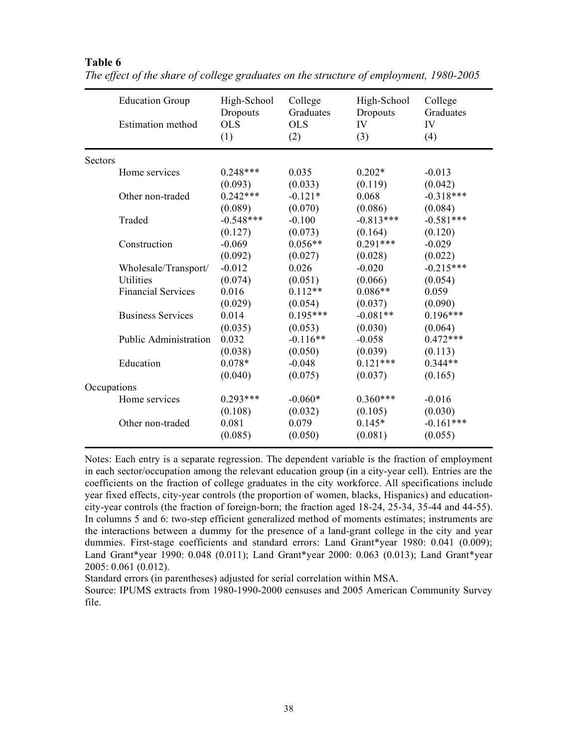|             | <b>Education Group</b>       | High-School<br>Dropouts | College<br>Graduates | High-School<br>Dropouts | College<br>Graduates |
|-------------|------------------------------|-------------------------|----------------------|-------------------------|----------------------|
|             | <b>Estimation</b> method     | <b>OLS</b><br>(1)       | $_{\rm OLS}$<br>(2)  | IV<br>(3)               | IV<br>(4)            |
| Sectors     |                              |                         |                      |                         |                      |
|             | Home services                | $0.248***$              | 0.035                | $0.202*$                | $-0.013$             |
|             |                              | (0.093)                 | (0.033)              | (0.119)                 | (0.042)              |
|             | Other non-traded             | $0.242***$              | $-0.121*$            | 0.068                   | $-0.318***$          |
|             |                              | (0.089)                 | (0.070)              | (0.086)                 | (0.084)              |
|             | Traded                       | $-0.548***$             | $-0.100$             | $-0.813***$             | $-0.581***$          |
|             |                              | (0.127)                 | (0.073)              | (0.164)                 | (0.120)              |
|             | Construction                 | $-0.069$                | $0.056**$            | $0.291***$              | $-0.029$             |
|             |                              | (0.092)                 | (0.027)              | (0.028)                 | (0.022)              |
|             | Wholesale/Transport/         | $-0.012$                | 0.026                | $-0.020$                | $-0.215***$          |
|             | Utilities                    | (0.074)                 | (0.051)              | (0.066)                 | (0.054)              |
|             | <b>Financial Services</b>    | 0.016                   | $0.112**$            | $0.086**$               | 0.059                |
|             |                              | (0.029)                 | (0.054)              | (0.037)                 | (0.090)              |
|             | <b>Business Services</b>     | 0.014                   | $0.195***$           | $-0.081**$              | $0.196***$           |
|             |                              | (0.035)                 | (0.053)              | (0.030)                 | (0.064)              |
|             | <b>Public Administration</b> | 0.032                   | $-0.116**$           | $-0.058$                | $0.472***$           |
|             |                              | (0.038)                 | (0.050)              | (0.039)                 | (0.113)              |
|             | Education                    | $0.078*$                | $-0.048$             | $0.121***$              | $0.344**$            |
|             |                              | (0.040)                 | (0.075)              | (0.037)                 | (0.165)              |
| Occupations |                              |                         |                      |                         |                      |
|             | Home services                | $0.293***$              | $-0.060*$            | $0.360***$              | $-0.016$             |
|             |                              | (0.108)                 | (0.032)              | (0.105)                 | (0.030)              |
|             | Other non-traded             | 0.081                   | 0.079                | $0.145*$                | $-0.161***$          |
|             |                              | (0.085)                 | (0.050)              | (0.081)                 | (0.055)              |

**Table 6** *The effect of the share of college graduates on the structure of employment, 1980-2005*

Notes: Each entry is a separate regression. The dependent variable is the fraction of employment in each sector/occupation among the relevant education group (in a city-year cell). Entries are the coefficients on the fraction of college graduates in the city workforce. All specifications include year fixed effects, city-year controls (the proportion of women, blacks, Hispanics) and educationcity-year controls (the fraction of foreign-born; the fraction aged 18-24, 25-34, 35-44 and 44-55). In columns 5 and 6: two-step efficient generalized method of moments estimates; instruments are the interactions between a dummy for the presence of a land-grant college in the city and year dummies. First-stage coefficients and standard errors: Land Grant\*year 1980: 0.041 (0.009); Land Grant\*year 1990: 0.048 (0.011); Land Grant\*year 2000: 0.063 (0.013); Land Grant\*year 2005: 0.061 (0.012).

Standard errors (in parentheses) adjusted for serial correlation within MSA.

Source: IPUMS extracts from 1980-1990-2000 censuses and 2005 American Community Survey file.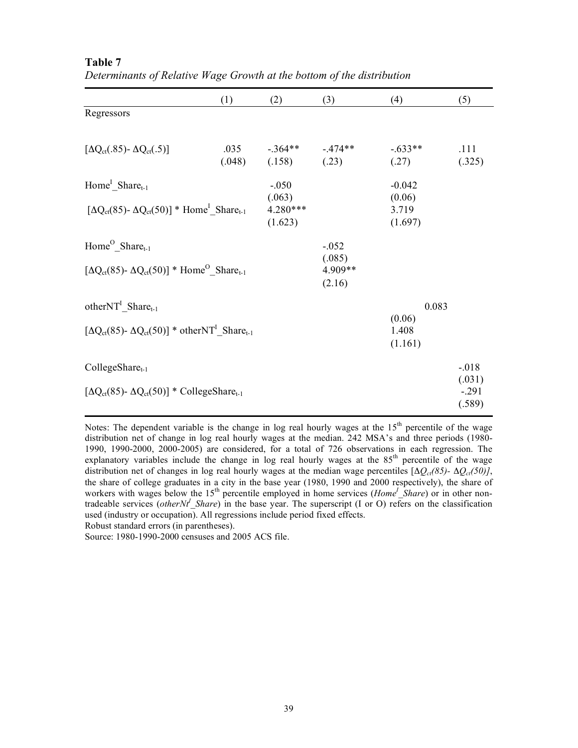|                                                                                                                                | (1)            | (2)                                      | (3)                                    | (4)                                    | (5)                                   |
|--------------------------------------------------------------------------------------------------------------------------------|----------------|------------------------------------------|----------------------------------------|----------------------------------------|---------------------------------------|
| Regressors                                                                                                                     |                |                                          |                                        |                                        |                                       |
| $[\Delta Q_{ct}(.85) - \Delta Q_{ct}(.5)]$                                                                                     | .035<br>(.048) | $-.364**$ $-.474**$<br>(.158)            | (.23)                                  | $-633**$<br>(.27)                      | .111<br>(.325)                        |
| Home <sup>I</sup> Share <sub>t-1</sub><br>$[\Delta Q_{ct}(85)$ - $\Delta Q_{ct}(50)]$ * Home <sup>l</sup> Share <sub>t-1</sub> |                | $-.050$<br>(.063)<br>4.280***<br>(1.623) |                                        | $-0.042$<br>(0.06)<br>3.719<br>(1.697) |                                       |
| $Home^O\_Share_{t-1}$<br>$[\Delta Q_{ct}(85)$ - $\Delta Q_{ct}(50)]$ * Home <sup>O</sup> Share <sub>t-1</sub>                  |                |                                          | $-.052$<br>(.085)<br>4.909**<br>(2.16) |                                        |                                       |
| other $NT^I$ Share <sub>t-1</sub><br>$[\Delta Q_{ct}(85)$ - $\Delta Q_{ct}(50)]$ * otherNT <sup>1</sup> Share <sub>t-1</sub>   |                |                                          |                                        | 0.083<br>(0.06)<br>1.408<br>(1.161)    |                                       |
| CollegeShare <sub>t-1</sub><br>$[\Delta Q_{ct}(85)$ - $\Delta Q_{ct}(50)]$ * CollegeShare <sub>t-1</sub>                       |                |                                          |                                        |                                        | $-018$<br>(.031)<br>$-.291$<br>(.589) |

**Table 7** *Determinants of Relative Wage Growth at the bottom of the distribution*

Notes: The dependent variable is the change in log real hourly wages at the  $15<sup>th</sup>$  percentile of the wage distribution net of change in log real hourly wages at the median. 242 MSA's and three periods (1980- 1990, 1990-2000, 2000-2005) are considered, for a total of 726 observations in each regression. The explanatory variables include the change in log real hourly wages at the  $85<sup>th</sup>$  percentile of the wage distribution net of changes in log real hourly wages at the median wage percentiles  $[\Delta Q_{ct}(85)-\Delta Q_{ct}(50)]$ , the share of college graduates in a city in the base year (1980, 1990 and 2000 respectively), the share of workers with wages below the 15<sup>th</sup> percentile employed in home services (*Home<sup>I</sup>* Share) or in other nontradeable services (*otherNt*<sup>*I*</sup> Share) in the base year. The superscript (I or O) refers on the classification used (industry or occupation). All regressions include period fixed effects.

Robust standard errors (in parentheses).

Source: 1980-1990-2000 censuses and 2005 ACS file.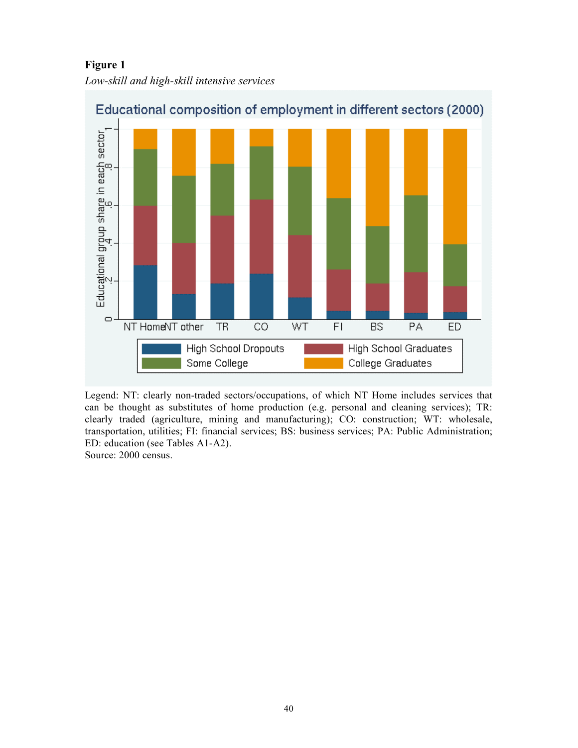**Figure 1** *Low-skill and high-skill intensive services*



Educational composition of employment in different sectors (2000)

Legend: NT: clearly non-traded sectors/occupations, of which NT Home includes services that can be thought as substitutes of home production (e.g. personal and cleaning services); TR: clearly traded (agriculture, mining and manufacturing); CO: construction; WT: wholesale, transportation, utilities; FI: financial services; BS: business services; PA: Public Administration; ED: education (see Tables A1-A2).

Source: 2000 census.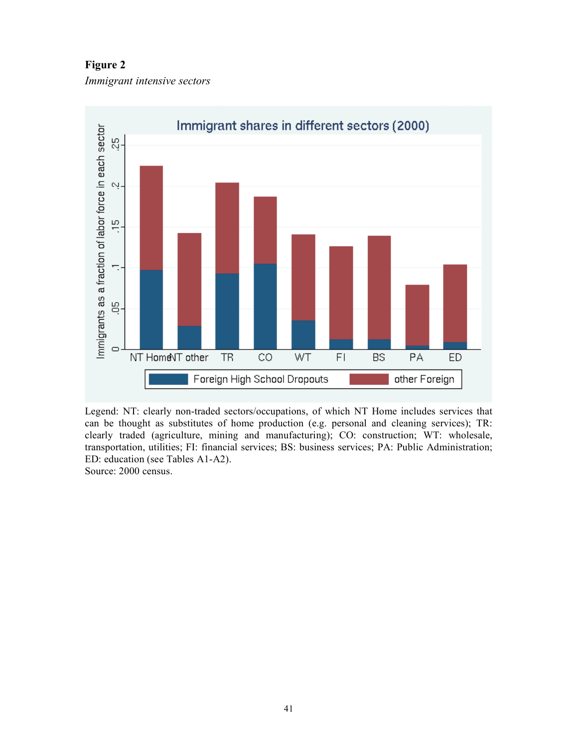**Figure 2**

*Immigrant intensive sectors*



Legend: NT: clearly non-traded sectors/occupations, of which NT Home includes services that can be thought as substitutes of home production (e.g. personal and cleaning services); TR: clearly traded (agriculture, mining and manufacturing); CO: construction; WT: wholesale, transportation, utilities; FI: financial services; BS: business services; PA: Public Administration; ED: education (see Tables A1-A2).

Source: 2000 census.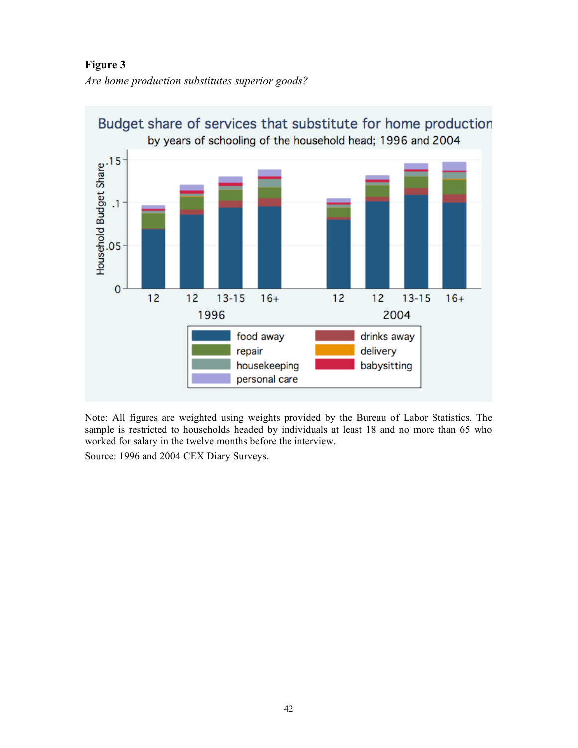**Figure 3**

*Are home production substitutes superior goods?*



Note: All figures are weighted using weights provided by the Bureau of Labor Statistics. The sample is restricted to households headed by individuals at least 18 and no more than 65 who worked for salary in the twelve months before the interview.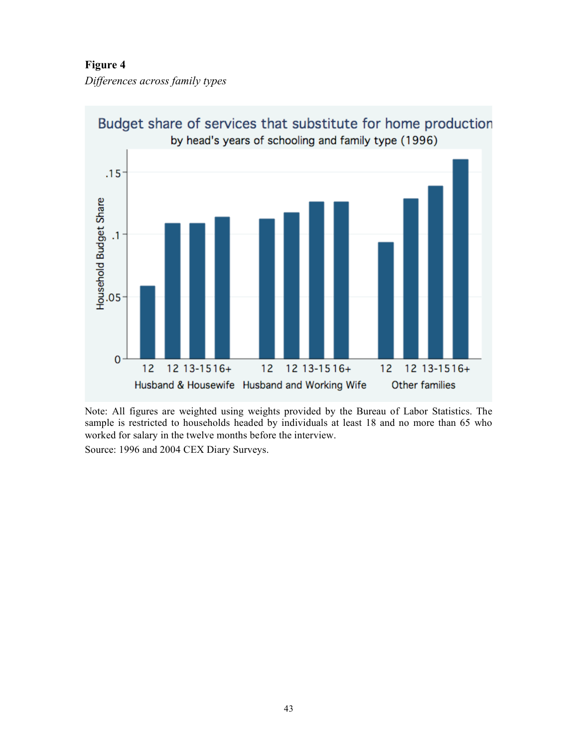**Figure 4**

*Differences across family types*



Budget share of services that substitute for home production

Note: All figures are weighted using weights provided by the Bureau of Labor Statistics. The sample is restricted to households headed by individuals at least 18 and no more than 65 who worked for salary in the twelve months before the interview.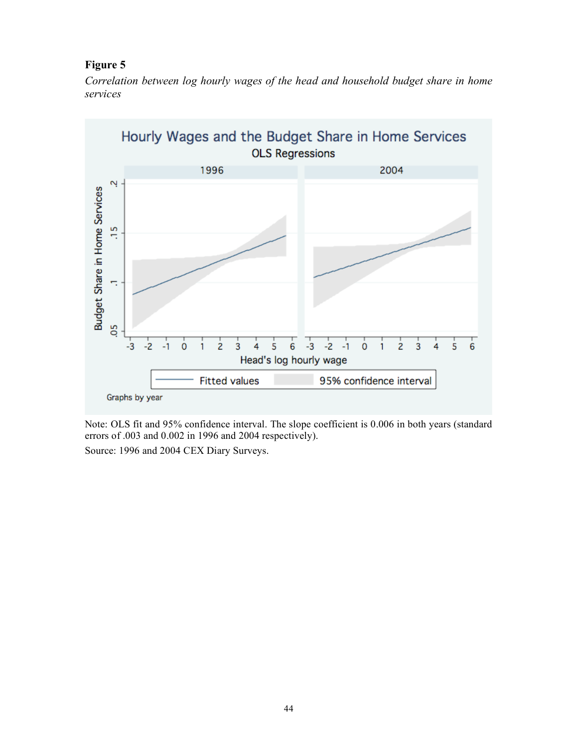# **Figure 5**

*Correlation between log hourly wages of the head and household budget share in home services*



Note: OLS fit and 95% confidence interval. The slope coefficient is 0.006 in both years (standard errors of .003 and 0.002 in 1996 and 2004 respectively).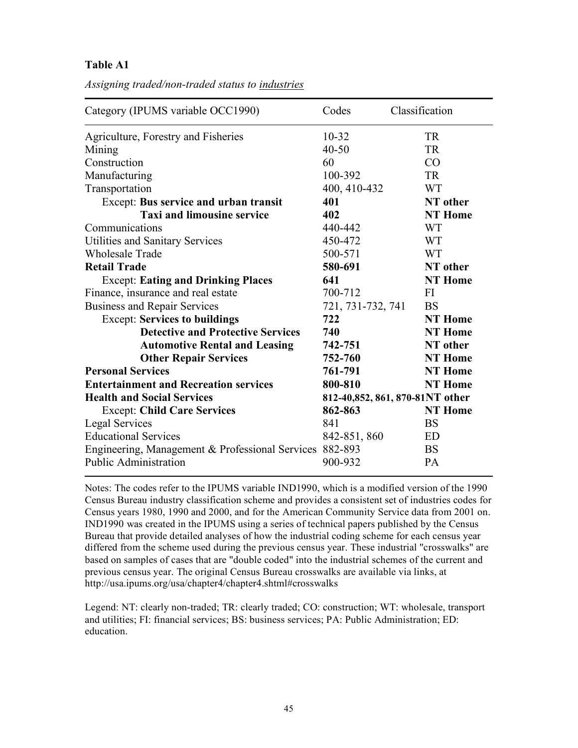**Table A1**

|  |  | Assigning traded/non-traded status to industries |  |  |  |  |
|--|--|--------------------------------------------------|--|--|--|--|
|--|--|--------------------------------------------------|--|--|--|--|

| Category (IPUMS variable OCC1990)               | Codes             | Classification                  |
|-------------------------------------------------|-------------------|---------------------------------|
| Agriculture, Forestry and Fisheries             | $10 - 32$         | <b>TR</b>                       |
| Mining                                          | $40 - 50$         | <b>TR</b>                       |
| Construction                                    | 60                | CO                              |
| Manufacturing                                   | 100-392           | <b>TR</b>                       |
| Transportation                                  | 400, 410-432      | <b>WT</b>                       |
| Except: Bus service and urban transit           | 401               | NT other                        |
| <b>Taxi and limousine service</b>               | 402               | <b>NT</b> Home                  |
| Communications                                  | 440-442           | <b>WT</b>                       |
| <b>Utilities and Sanitary Services</b>          | 450-472           | <b>WT</b>                       |
| <b>Wholesale Trade</b>                          | 500-571           | <b>WT</b>                       |
| <b>Retail Trade</b>                             | 580-691           | NT other                        |
| <b>Except: Eating and Drinking Places</b>       | 641               | <b>NT</b> Home                  |
| Finance, insurance and real estate              | 700-712           | FI                              |
| <b>Business and Repair Services</b>             | 721, 731-732, 741 | <b>BS</b>                       |
| <b>Except: Services to buildings</b>            | 722               | <b>NT</b> Home                  |
| <b>Detective and Protective Services</b>        | 740               | <b>NT</b> Home                  |
| <b>Automotive Rental and Leasing</b>            | 742-751           | NT other                        |
| <b>Other Repair Services</b>                    | 752-760           | <b>NT</b> Home                  |
| <b>Personal Services</b>                        | 761-791           | <b>NT</b> Home                  |
| <b>Entertainment and Recreation services</b>    | 800-810           | <b>NT</b> Home                  |
| <b>Health and Social Services</b>               |                   | 812-40,852, 861, 870-81NT other |
| <b>Except: Child Care Services</b>              | 862-863           | <b>NT</b> Home                  |
| <b>Legal Services</b>                           | 841               | <b>BS</b>                       |
| <b>Educational Services</b>                     | 842-851, 860      | ED                              |
| Engineering, Management & Professional Services | 882-893           | <b>BS</b>                       |
| Public Administration                           | 900-932           | PA                              |

Notes: The codes refer to the IPUMS variable IND1990, which is a modified version of the 1990 Census Bureau industry classification scheme and provides a consistent set of industries codes for Census years 1980, 1990 and 2000, and for the American Community Service data from 2001 on. IND1990 was created in the IPUMS using a series of technical papers published by the Census Bureau that provide detailed analyses of how the industrial coding scheme for each census year differed from the scheme used during the previous census year. These industrial "crosswalks" are based on samples of cases that are "double coded" into the industrial schemes of the current and previous census year. The original Census Bureau crosswalks are available via links, at http://usa.ipums.org/usa/chapter4/chapter4.shtml#crosswalks

Legend: NT: clearly non-traded; TR: clearly traded; CO: construction; WT: wholesale, transport and utilities; FI: financial services; BS: business services; PA: Public Administration; ED: education.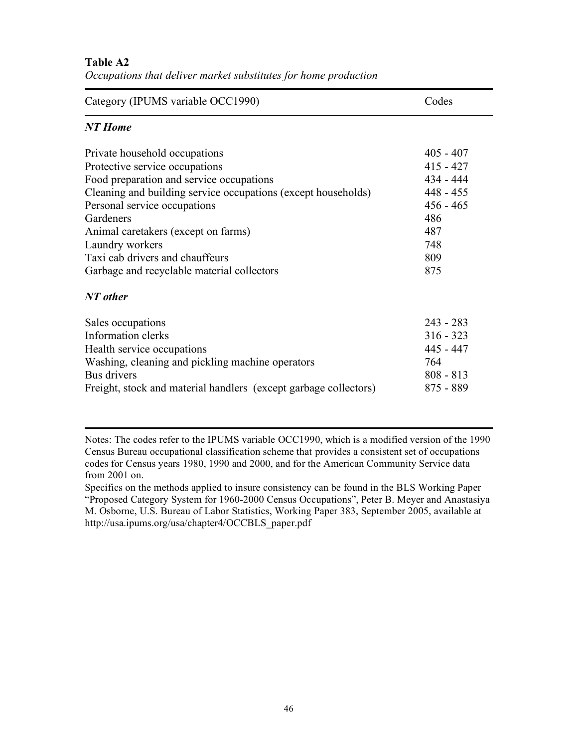### **Table A2**

| Occupations that deliver market substitutes for home production |  |  |
|-----------------------------------------------------------------|--|--|
|-----------------------------------------------------------------|--|--|

| Category (IPUMS variable OCC1990)                                          | Codes                    |
|----------------------------------------------------------------------------|--------------------------|
| <b>NT</b> Home                                                             |                          |
| Private household occupations                                              | $405 - 407$              |
| Protective service occupations<br>Food preparation and service occupations | $415 - 427$<br>434 - 444 |
| Cleaning and building service occupations (except households)              | $448 - 455$              |
| Personal service occupations<br>Gardeners                                  | $456 - 465$<br>486       |
| Animal caretakers (except on farms)<br>Laundry workers                     | 487<br>748               |
| Taxi cab drivers and chauffeurs                                            | 809                      |
| Garbage and recyclable material collectors                                 | 875                      |
| NT other                                                                   |                          |
| Sales occupations                                                          | $243 - 283$              |
| Information clerks                                                         | $316 - 323$              |
| Health service occupations                                                 | 445 - 447                |
| Washing, cleaning and pickling machine operators                           | 764                      |
| Bus drivers                                                                | $808 - 813$              |
| Freight, stock and material handlers (except garbage collectors)           | $875 - 889$              |

Notes: The codes refer to the IPUMS variable OCC1990, which is a modified version of the 1990 Census Bureau occupational classification scheme that provides a consistent set of occupations codes for Census years 1980, 1990 and 2000, and for the American Community Service data from 2001 on.

Specifics on the methods applied to insure consistency can be found in the BLS Working Paper "Proposed Category System for 1960-2000 Census Occupations", Peter B. Meyer and Anastasiya M. Osborne, U.S. Bureau of Labor Statistics, Working Paper 383, September 2005, available at http://usa.ipums.org/usa/chapter4/OCCBLS\_paper.pdf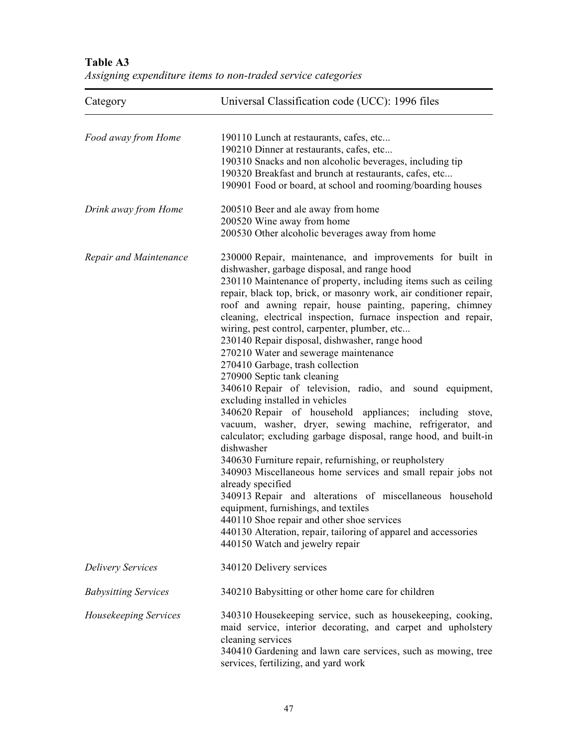| Category                    | Universal Classification code (UCC): 1996 files                                                                                                                                                                                                                                                                                                                                                                                                                                                                                                                                                                                                                                                                                                                                                                                                                                                                                                                                                                                                                                                                                                                                                                                                                                                                  |
|-----------------------------|------------------------------------------------------------------------------------------------------------------------------------------------------------------------------------------------------------------------------------------------------------------------------------------------------------------------------------------------------------------------------------------------------------------------------------------------------------------------------------------------------------------------------------------------------------------------------------------------------------------------------------------------------------------------------------------------------------------------------------------------------------------------------------------------------------------------------------------------------------------------------------------------------------------------------------------------------------------------------------------------------------------------------------------------------------------------------------------------------------------------------------------------------------------------------------------------------------------------------------------------------------------------------------------------------------------|
| Food away from Home         | 190110 Lunch at restaurants, cafes, etc<br>190210 Dinner at restaurants, cafes, etc<br>190310 Snacks and non alcoholic beverages, including tip<br>190320 Breakfast and brunch at restaurants, cafes, etc<br>190901 Food or board, at school and rooming/boarding houses                                                                                                                                                                                                                                                                                                                                                                                                                                                                                                                                                                                                                                                                                                                                                                                                                                                                                                                                                                                                                                         |
| Drink away from Home        | 200510 Beer and ale away from home<br>200520 Wine away from home<br>200530 Other alcoholic beverages away from home                                                                                                                                                                                                                                                                                                                                                                                                                                                                                                                                                                                                                                                                                                                                                                                                                                                                                                                                                                                                                                                                                                                                                                                              |
| Repair and Maintenance      | 230000 Repair, maintenance, and improvements for built in<br>dishwasher, garbage disposal, and range hood<br>230110 Maintenance of property, including items such as ceiling<br>repair, black top, brick, or masonry work, air conditioner repair,<br>roof and awning repair, house painting, papering, chimney<br>cleaning, electrical inspection, furnace inspection and repair,<br>wiring, pest control, carpenter, plumber, etc<br>230140 Repair disposal, dishwasher, range hood<br>270210 Water and sewerage maintenance<br>270410 Garbage, trash collection<br>270900 Septic tank cleaning<br>340610 Repair of television, radio, and sound equipment,<br>excluding installed in vehicles<br>340620 Repair of household appliances; including stove,<br>vacuum, washer, dryer, sewing machine, refrigerator, and<br>calculator; excluding garbage disposal, range hood, and built-in<br>dishwasher<br>340630 Furniture repair, refurnishing, or reupholstery<br>340903 Miscellaneous home services and small repair jobs not<br>already specified<br>340913 Repair and alterations of miscellaneous household<br>equipment, furnishings, and textiles<br>440110 Shoe repair and other shoe services<br>440130 Alteration, repair, tailoring of apparel and accessories<br>440150 Watch and jewelry repair |
| <b>Delivery Services</b>    | 340120 Delivery services                                                                                                                                                                                                                                                                                                                                                                                                                                                                                                                                                                                                                                                                                                                                                                                                                                                                                                                                                                                                                                                                                                                                                                                                                                                                                         |
| <b>Babysitting Services</b> | 340210 Babysitting or other home care for children                                                                                                                                                                                                                                                                                                                                                                                                                                                                                                                                                                                                                                                                                                                                                                                                                                                                                                                                                                                                                                                                                                                                                                                                                                                               |
| Housekeeping Services       | 340310 Housekeeping service, such as housekeeping, cooking,<br>maid service, interior decorating, and carpet and upholstery<br>cleaning services<br>340410 Gardening and lawn care services, such as mowing, tree<br>services, fertilizing, and yard work                                                                                                                                                                                                                                                                                                                                                                                                                                                                                                                                                                                                                                                                                                                                                                                                                                                                                                                                                                                                                                                        |

**Table A3** *Assigning expenditure items to non-traded service categories*